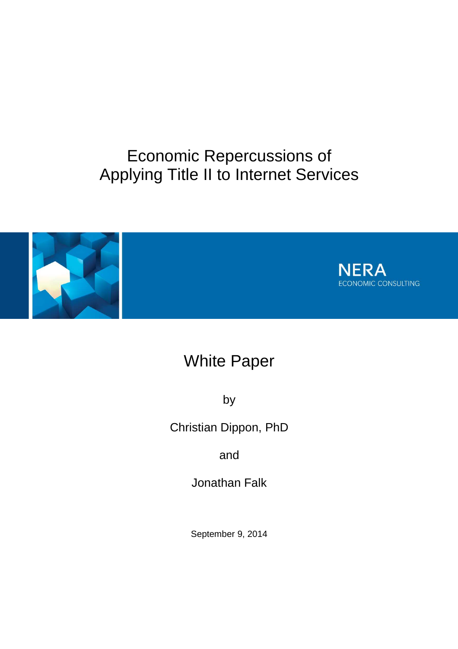# Economic Repercussions of Applying Title II to Internet Services





# White Paper

by

Christian Dippon, PhD

and

Jonathan Falk

September 9, 2014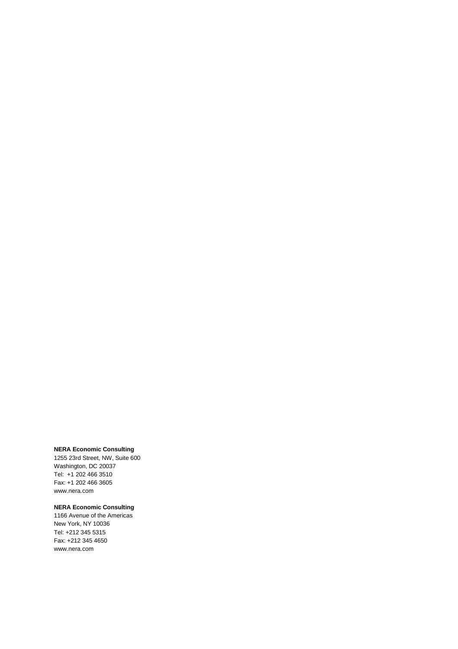#### **NERA Economic Consulting**

1255 23rd Street, NW, Suite 600 Washington, DC 20037 Tel: +1 202 466 3510 Fax: +1 202 466 3605 www.nera.com

#### **NERA Economic Consulting**

1166 Avenue of the Americas New York, NY 10036 Tel: +212 345 5315 Fax: +212 345 4650 www.nera.com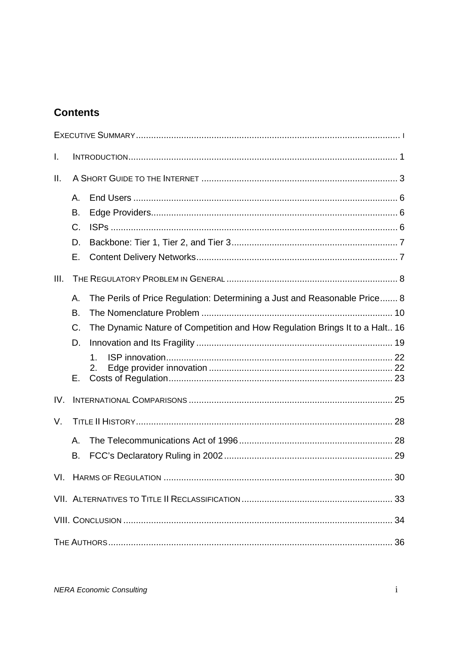## **Contents**

| I.   |           |                                                                             |  |
|------|-----------|-----------------------------------------------------------------------------|--|
| Ш.   |           |                                                                             |  |
|      | Α.        |                                                                             |  |
|      | B.        |                                                                             |  |
|      | C.        |                                                                             |  |
|      | D.        |                                                                             |  |
|      | Ε.        |                                                                             |  |
| III. |           |                                                                             |  |
|      | Α.        | The Perils of Price Regulation: Determining a Just and Reasonable Price 8   |  |
|      | <b>B.</b> |                                                                             |  |
|      | C.        | The Dynamic Nature of Competition and How Regulation Brings It to a Halt 16 |  |
|      | D.        |                                                                             |  |
|      |           | $\mathbf 1$                                                                 |  |
|      |           | 2.                                                                          |  |
|      | Е.        |                                                                             |  |
| IV.  |           |                                                                             |  |
| V.   |           |                                                                             |  |
|      | А.        |                                                                             |  |
|      | В.        |                                                                             |  |
|      |           |                                                                             |  |
|      |           |                                                                             |  |
|      |           |                                                                             |  |
|      |           |                                                                             |  |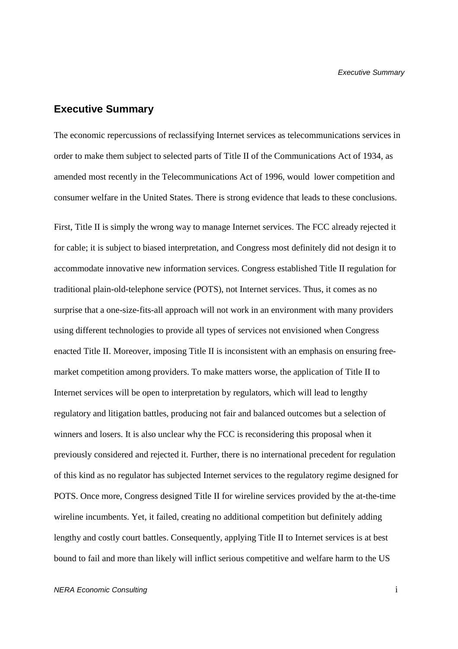## **Executive Summary**

The economic repercussions of reclassifying Internet services as telecommunications services in order to make them subject to selected parts of Title II of the Communications Act of 1934, as amended most recently in the Telecommunications Act of 1996, would lower competition and consumer welfare in the United States. There is strong evidence that leads to these conclusions.

First, Title II is simply the wrong way to manage Internet services. The FCC already rejected it for cable; it is subject to biased interpretation, and Congress most definitely did not design it to accommodate innovative new information services. Congress established Title II regulation for traditional plain-old-telephone service (POTS), not Internet services. Thus, it comes as no surprise that a one-size-fits-all approach will not work in an environment with many providers using different technologies to provide all types of services not envisioned when Congress enacted Title II. Moreover, imposing Title II is inconsistent with an emphasis on ensuring freemarket competition among providers. To make matters worse, the application of Title II to Internet services will be open to interpretation by regulators, which will lead to lengthy regulatory and litigation battles, producing not fair and balanced outcomes but a selection of winners and losers. It is also unclear why the FCC is reconsidering this proposal when it previously considered and rejected it. Further, there is no international precedent for regulation of this kind as no regulator has subjected Internet services to the regulatory regime designed for POTS. Once more, Congress designed Title II for wireline services provided by the at-the-time wireline incumbents. Yet, it failed, creating no additional competition but definitely adding lengthy and costly court battles. Consequently, applying Title II to Internet services is at best bound to fail and more than likely will inflict serious competitive and welfare harm to the US

#### NERA Economic Consulting i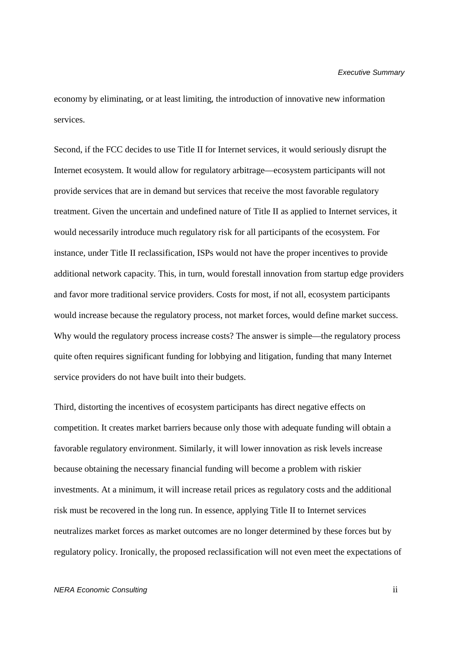#### Executive Summary

economy by eliminating, or at least limiting, the introduction of innovative new information services.

Second, if the FCC decides to use Title II for Internet services, it would seriously disrupt the Internet ecosystem. It would allow for regulatory arbitrage—ecosystem participants will not provide services that are in demand but services that receive the most favorable regulatory treatment. Given the uncertain and undefined nature of Title II as applied to Internet services, it would necessarily introduce much regulatory risk for all participants of the ecosystem. For instance, under Title II reclassification, ISPs would not have the proper incentives to provide additional network capacity. This, in turn, would forestall innovation from startup edge providers and favor more traditional service providers. Costs for most, if not all, ecosystem participants would increase because the regulatory process, not market forces, would define market success. Why would the regulatory process increase costs? The answer is simple—the regulatory process quite often requires significant funding for lobbying and litigation, funding that many Internet service providers do not have built into their budgets.

Third, distorting the incentives of ecosystem participants has direct negative effects on competition. It creates market barriers because only those with adequate funding will obtain a favorable regulatory environment. Similarly, it will lower innovation as risk levels increase because obtaining the necessary financial funding will become a problem with riskier investments. At a minimum, it will increase retail prices as regulatory costs and the additional risk must be recovered in the long run. In essence, applying Title II to Internet services neutralizes market forces as market outcomes are no longer determined by these forces but by regulatory policy. Ironically, the proposed reclassification will not even meet the expectations of

#### NERA Economic Consulting ii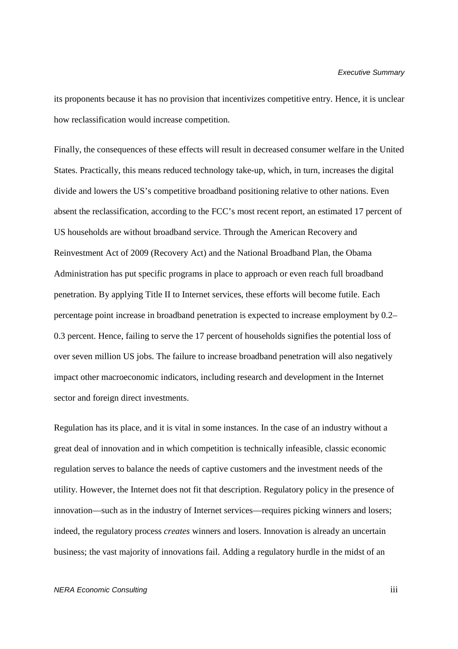its proponents because it has no provision that incentivizes competitive entry. Hence, it is unclear how reclassification would increase competition.

Finally, the consequences of these effects will result in decreased consumer welfare in the United States. Practically, this means reduced technology take-up, which, in turn, increases the digital divide and lowers the US's competitive broadband positioning relative to other nations. Even absent the reclassification, according to the FCC's most recent report, an estimated 17 percent of US households are without broadband service. Through the American Recovery and Reinvestment Act of 2009 (Recovery Act) and the National Broadband Plan, the Obama Administration has put specific programs in place to approach or even reach full broadband penetration. By applying Title II to Internet services, these efforts will become futile. Each percentage point increase in broadband penetration is expected to increase employment by 0.2– 0.3 percent. Hence, failing to serve the 17 percent of households signifies the potential loss of over seven million US jobs. The failure to increase broadband penetration will also negatively impact other macroeconomic indicators, including research and development in the Internet sector and foreign direct investments.

Regulation has its place, and it is vital in some instances. In the case of an industry without a great deal of innovation and in which competition is technically infeasible, classic economic regulation serves to balance the needs of captive customers and the investment needs of the utility. However, the Internet does not fit that description. Regulatory policy in the presence of innovation—such as in the industry of Internet services—requires picking winners and losers; indeed, the regulatory process *creates* winners and losers. Innovation is already an uncertain business; the vast majority of innovations fail. Adding a regulatory hurdle in the midst of an

#### NERA Economic Consulting in the consulting in the consulting in the consulting in the consulting in the consulting in the consulting in the consulting in the consulting in the consulting in the consulting in the consulting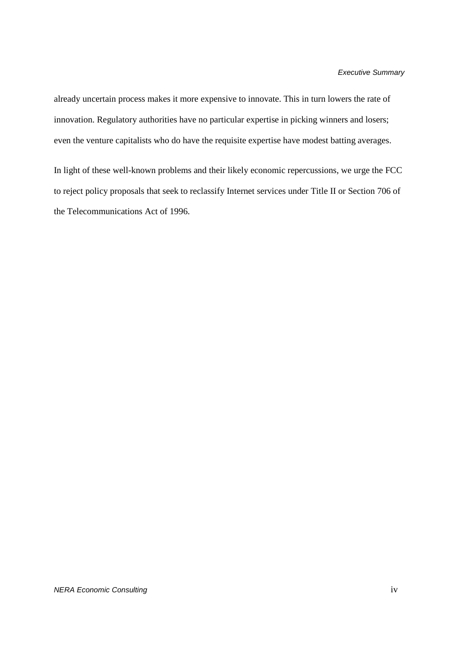already uncertain process makes it more expensive to innovate. This in turn lowers the rate of innovation. Regulatory authorities have no particular expertise in picking winners and losers; even the venture capitalists who do have the requisite expertise have modest batting averages.

In light of these well-known problems and their likely economic repercussions, we urge the FCC to reject policy proposals that seek to reclassify Internet services under Title II or Section 706 of the Telecommunications Act of 1996.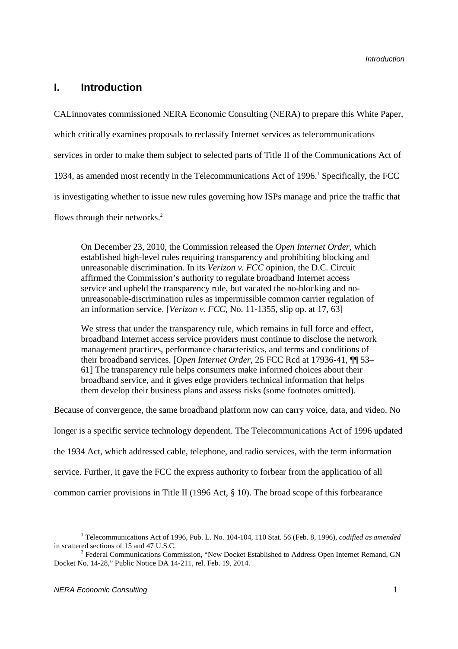## **I. Introduction**

CALinnovates commissioned NERA Economic Consulting (NERA) to prepare this White Paper, which critically examines proposals to reclassify Internet services as telecommunications services in order to make them subject to selected parts of Title II of the Communications Act of 1934, as amended most recently in the Telecommunications Act of 1996.<sup>1</sup> Specifically, the FCC is investigating whether to issue new rules governing how ISPs manage and price the traffic that flows through their networks.<sup>2</sup>

On December 23, 2010, the Commission released the *Open Internet Order*, which established high-level rules requiring transparency and prohibiting blocking and unreasonable discrimination. In its *Verizon v. FCC* opinion, the D.C. Circuit affirmed the Commission's authority to regulate broadband Internet access service and upheld the transparency rule, but vacated the no-blocking and nounreasonable-discrimination rules as impermissible common carrier regulation of an information service. [*Verizon v. FCC*, No. 11-1355, slip op. at 17, 63]

We stress that under the transparency rule, which remains in full force and effect, broadband Internet access service providers must continue to disclose the network management practices, performance characteristics, and terms and conditions of their broadband services. [*Open Internet Order*, 25 FCC Rcd at 17936-41, ¶¶ 53– 61] The transparency rule helps consumers make informed choices about their broadband service, and it gives edge providers technical information that helps them develop their business plans and assess risks (some footnotes omitted).

Because of convergence, the same broadband platform now can carry voice, data, and video. No

longer is a specific service technology dependent. The Telecommunications Act of 1996 updated

the 1934 Act, which addressed cable, telephone, and radio services, with the term information

service. Further, it gave the FCC the express authority to forbear from the application of all

common carrier provisions in Title II (1996 Act, § 10). The broad scope of this forbearance

<sup>&</sup>lt;sup>1</sup> Telecommunications Act of 1996, Pub. L. No. 104-104, 110 Stat. 56 (Feb. 8, 1996), *codified as amended* in scattered sections of 15 and 47 U.S.C.

<sup>&</sup>lt;sup>2</sup> Federal Communications Commission, "New Docket Established to Address Open Internet Remand, GN Docket No. 14-28," Public Notice DA 14-211, rel. Feb. 19, 2014.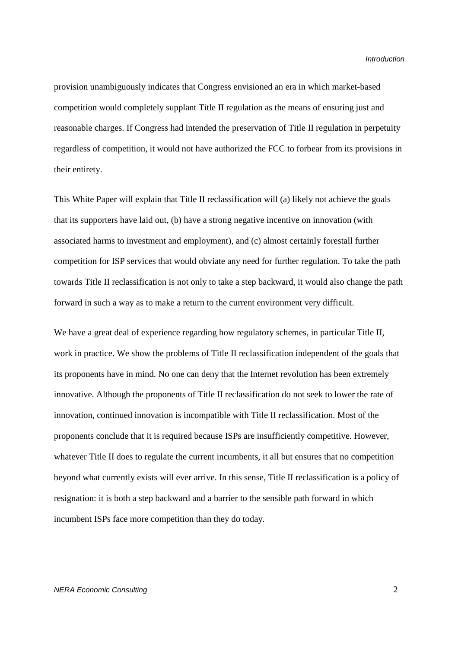provision unambiguously indicates that Congress envisioned an era in which market-based competition would completely supplant Title II regulation as the means of ensuring just and reasonable charges. If Congress had intended the preservation of Title II regulation in perpetuity regardless of competition, it would not have authorized the FCC to forbear from its provisions in their entirety.

This White Paper will explain that Title II reclassification will (a) likely not achieve the goals that its supporters have laid out, (b) have a strong negative incentive on innovation (with associated harms to investment and employment), and (c) almost certainly forestall further competition for ISP services that would obviate any need for further regulation. To take the path towards Title II reclassification is not only to take a step backward, it would also change the path forward in such a way as to make a return to the current environment very difficult.

We have a great deal of experience regarding how regulatory schemes, in particular Title II, work in practice. We show the problems of Title II reclassification independent of the goals that its proponents have in mind. No one can deny that the Internet revolution has been extremely innovative. Although the proponents of Title II reclassification do not seek to lower the rate of innovation, continued innovation is incompatible with Title II reclassification. Most of the proponents conclude that it is required because ISPs are insufficiently competitive. However, whatever Title II does to regulate the current incumbents, it all but ensures that no competition beyond what currently exists will ever arrive. In this sense, Title II reclassification is a policy of resignation: it is both a step backward and a barrier to the sensible path forward in which incumbent ISPs face more competition than they do today.

#### NERA Economic Consulting 2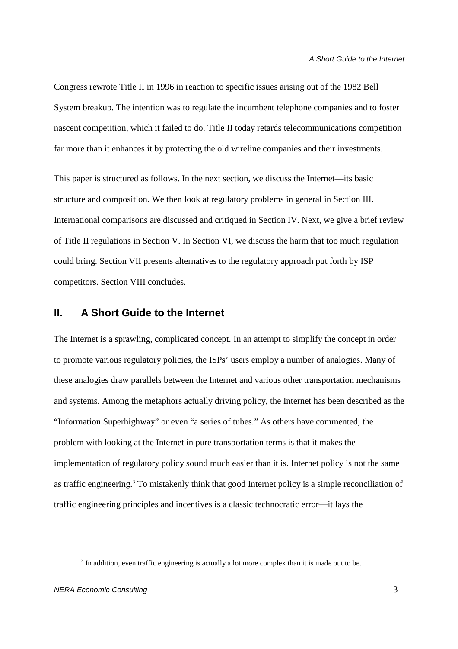Congress rewrote Title II in 1996 in reaction to specific issues arising out of the 1982 Bell System breakup. The intention was to regulate the incumbent telephone companies and to foster nascent competition, which it failed to do. Title II today retards telecommunications competition far more than it enhances it by protecting the old wireline companies and their investments.

This paper is structured as follows. In the next section, we discuss the Internet—its basic structure and composition. We then look at regulatory problems in general in Section III. International comparisons are discussed and critiqued in Section IV. Next, we give a brief review of Title II regulations in Section V. In Section VI, we discuss the harm that too much regulation could bring. Section VII presents alternatives to the regulatory approach put forth by ISP competitors. Section VIII concludes.

## **II. A Short Guide to the Internet**

The Internet is a sprawling, complicated concept. In an attempt to simplify the concept in order to promote various regulatory policies, the ISPs' users employ a number of analogies. Many of these analogies draw parallels between the Internet and various other transportation mechanisms and systems. Among the metaphors actually driving policy, the Internet has been described as the "Information Superhighway" or even "a series of tubes." As others have commented, the problem with looking at the Internet in pure transportation terms is that it makes the implementation of regulatory policy sound much easier than it is. Internet policy is not the same as traffic engineering.<sup>3</sup> To mistakenly think that good Internet policy is a simple reconciliation of traffic engineering principles and incentives is a classic technocratic error—it lays the

 $3$  In addition, even traffic engineering is actually a lot more complex than it is made out to be.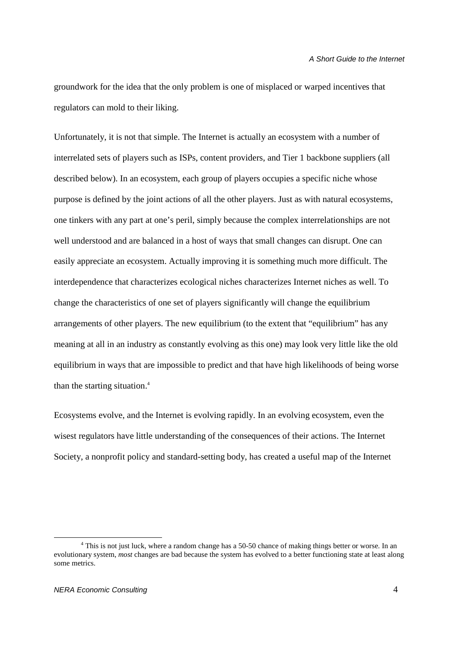groundwork for the idea that the only problem is one of misplaced or warped incentives that regulators can mold to their liking.

Unfortunately, it is not that simple. The Internet is actually an ecosystem with a number of interrelated sets of players such as ISPs, content providers, and Tier 1 backbone suppliers (all described below). In an ecosystem, each group of players occupies a specific niche whose purpose is defined by the joint actions of all the other players. Just as with natural ecosystems, one tinkers with any part at one's peril, simply because the complex interrelationships are not well understood and are balanced in a host of ways that small changes can disrupt. One can easily appreciate an ecosystem. Actually improving it is something much more difficult. The interdependence that characterizes ecological niches characterizes Internet niches as well. To change the characteristics of one set of players significantly will change the equilibrium arrangements of other players. The new equilibrium (to the extent that "equilibrium" has any meaning at all in an industry as constantly evolving as this one) may look very little like the old equilibrium in ways that are impossible to predict and that have high likelihoods of being worse than the starting situation.<sup>4</sup>

Ecosystems evolve, and the Internet is evolving rapidly. In an evolving ecosystem, even the wisest regulators have little understanding of the consequences of their actions. The Internet Society, a nonprofit policy and standard-setting body, has created a useful map of the Internet

<sup>&</sup>lt;sup>4</sup> This is not just luck, where a random change has a 50-50 chance of making things better or worse. In an evolutionary system, *most* changes are bad because the system has evolved to a better functioning state at least along some metrics.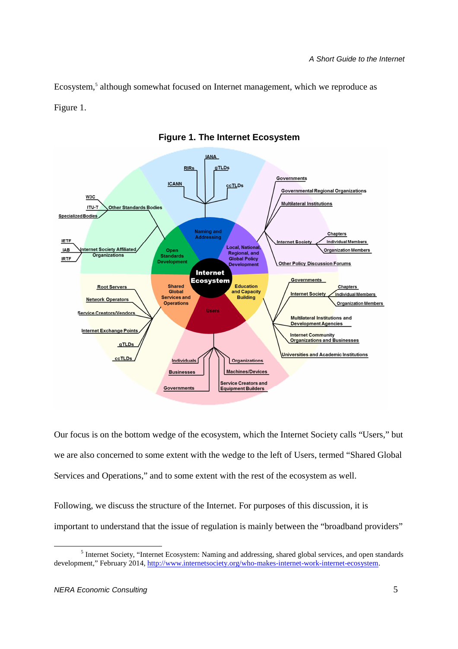Ecosystem,<sup>5</sup> although somewhat focused on Internet management, which we reproduce as Figure 1.



**Figure 1. The Internet Ecosystem** 

Our focus is on the bottom wedge of the ecosystem, which the Internet Society calls "Users," but we are also concerned to some extent with the wedge to the left of Users, termed "Shared Global Services and Operations," and to some extent with the rest of the ecosystem as well.

Following, we discuss the structure of the Internet. For purposes of this discussion, it is important to understand that the issue of regulation is mainly between the "broadband providers"

 $\overline{a}$ <sup>5</sup> Internet Society, "Internet Ecosystem: Naming and addressing, shared global services, and open standards development," February 2014, http://www.internetsociety.org/who-makes-internet-work-internet-ecosystem.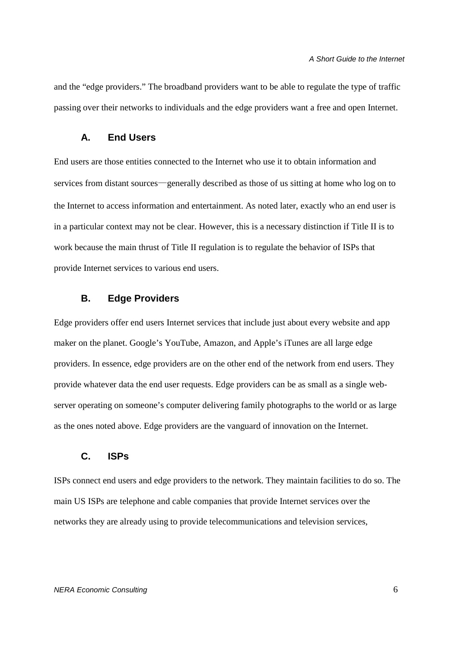and the "edge providers." The broadband providers want to be able to regulate the type of traffic passing over their networks to individuals and the edge providers want a free and open Internet.

### **A. End Users**

End users are those entities connected to the Internet who use it to obtain information and services from distant sources—generally described as those of us sitting at home who log on to the Internet to access information and entertainment. As noted later, exactly who an end user is in a particular context may not be clear. However, this is a necessary distinction if Title II is to work because the main thrust of Title II regulation is to regulate the behavior of ISPs that provide Internet services to various end users.

#### **B. Edge Providers**

Edge providers offer end users Internet services that include just about every website and app maker on the planet. Google's YouTube, Amazon, and Apple's iTunes are all large edge providers. In essence, edge providers are on the other end of the network from end users. They provide whatever data the end user requests. Edge providers can be as small as a single webserver operating on someone's computer delivering family photographs to the world or as large as the ones noted above. Edge providers are the vanguard of innovation on the Internet.

### **C. ISPs**

ISPs connect end users and edge providers to the network. They maintain facilities to do so. The main US ISPs are telephone and cable companies that provide Internet services over the networks they are already using to provide telecommunications and television services,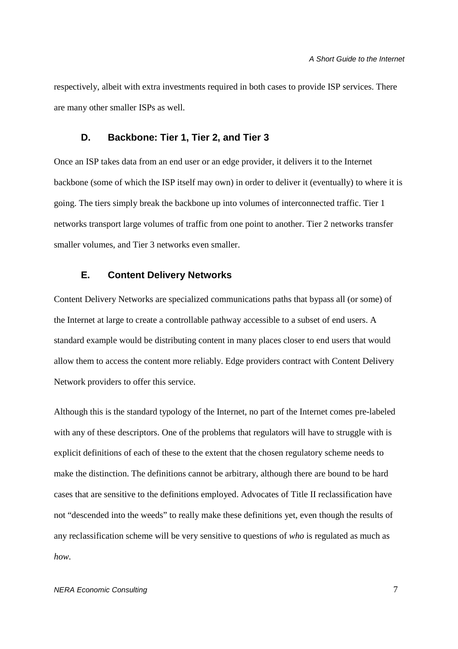respectively, albeit with extra investments required in both cases to provide ISP services. There are many other smaller ISPs as well.

#### **D. Backbone: Tier 1, Tier 2, and Tier 3**

Once an ISP takes data from an end user or an edge provider, it delivers it to the Internet backbone (some of which the ISP itself may own) in order to deliver it (eventually) to where it is going. The tiers simply break the backbone up into volumes of interconnected traffic. Tier 1 networks transport large volumes of traffic from one point to another. Tier 2 networks transfer smaller volumes, and Tier 3 networks even smaller.

## **E. Content Delivery Networks**

Content Delivery Networks are specialized communications paths that bypass all (or some) of the Internet at large to create a controllable pathway accessible to a subset of end users. A standard example would be distributing content in many places closer to end users that would allow them to access the content more reliably. Edge providers contract with Content Delivery Network providers to offer this service.

Although this is the standard typology of the Internet, no part of the Internet comes pre-labeled with any of these descriptors. One of the problems that regulators will have to struggle with is explicit definitions of each of these to the extent that the chosen regulatory scheme needs to make the distinction. The definitions cannot be arbitrary, although there are bound to be hard cases that are sensitive to the definitions employed. Advocates of Title II reclassification have not "descended into the weeds" to really make these definitions yet, even though the results of any reclassification scheme will be very sensitive to questions of *who* is regulated as much as *how.*

#### NERA Economic Consulting 7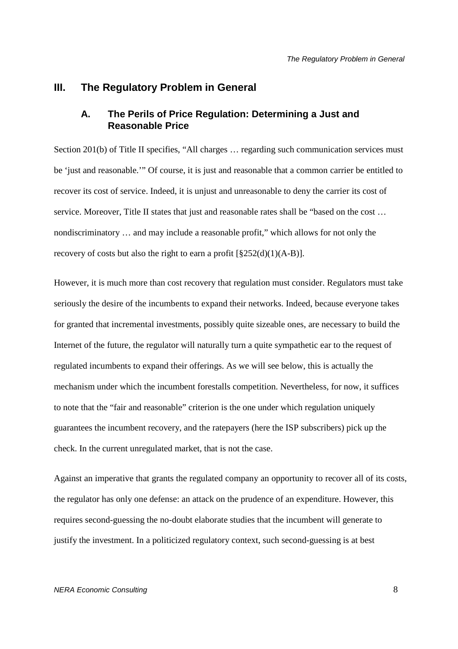#### **III. The Regulatory Problem in General**

## **A. The Perils of Price Regulation: Determining a Just and Reasonable Price**

Section 201(b) of Title II specifies, "All charges ... regarding such communication services must be 'just and reasonable.'" Of course, it is just and reasonable that a common carrier be entitled to recover its cost of service. Indeed, it is unjust and unreasonable to deny the carrier its cost of service. Moreover, Title II states that just and reasonable rates shall be "based on the cost ... nondiscriminatory … and may include a reasonable profit," which allows for not only the recovery of costs but also the right to earn a profit  $\lceil \frac{8252(d)(1)(A-B)}{2} \rceil$ .

However, it is much more than cost recovery that regulation must consider. Regulators must take seriously the desire of the incumbents to expand their networks. Indeed, because everyone takes for granted that incremental investments, possibly quite sizeable ones, are necessary to build the Internet of the future, the regulator will naturally turn a quite sympathetic ear to the request of regulated incumbents to expand their offerings. As we will see below, this is actually the mechanism under which the incumbent forestalls competition. Nevertheless, for now, it suffices to note that the "fair and reasonable" criterion is the one under which regulation uniquely guarantees the incumbent recovery, and the ratepayers (here the ISP subscribers) pick up the check. In the current unregulated market, that is not the case.

Against an imperative that grants the regulated company an opportunity to recover all of its costs, the regulator has only one defense: an attack on the prudence of an expenditure. However, this requires second-guessing the no-doubt elaborate studies that the incumbent will generate to justify the investment. In a politicized regulatory context, such second-guessing is at best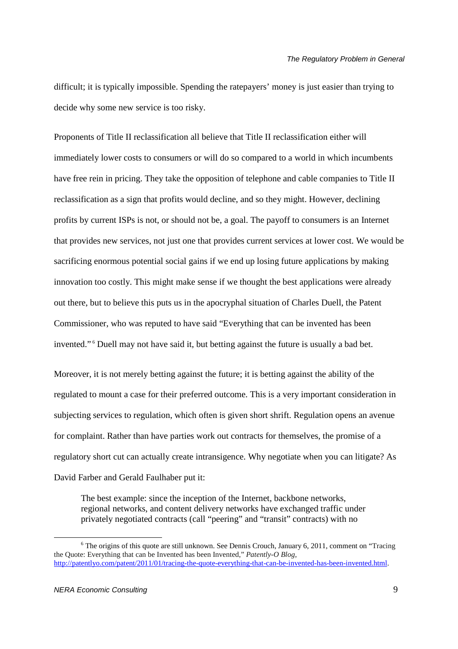difficult; it is typically impossible. Spending the ratepayers' money is just easier than trying to decide why some new service is too risky.

Proponents of Title II reclassification all believe that Title II reclassification either will immediately lower costs to consumers or will do so compared to a world in which incumbents have free rein in pricing. They take the opposition of telephone and cable companies to Title II reclassification as a sign that profits would decline, and so they might. However, declining profits by current ISPs is not, or should not be, a goal. The payoff to consumers is an Internet that provides new services, not just one that provides current services at lower cost. We would be sacrificing enormous potential social gains if we end up losing future applications by making innovation too costly. This might make sense if we thought the best applications were already out there, but to believe this puts us in the apocryphal situation of Charles Duell, the Patent Commissioner, who was reputed to have said "Everything that can be invented has been invented."<sup>6</sup> Duell may not have said it, but betting against the future is usually a bad bet.

Moreover, it is not merely betting against the future; it is betting against the ability of the regulated to mount a case for their preferred outcome. This is a very important consideration in subjecting services to regulation, which often is given short shrift. Regulation opens an avenue for complaint. Rather than have parties work out contracts for themselves, the promise of a regulatory short cut can actually create intransigence. Why negotiate when you can litigate? As David Farber and Gerald Faulhaber put it:

The best example: since the inception of the Internet, backbone networks, regional networks, and content delivery networks have exchanged traffic under privately negotiated contracts (call "peering" and "transit" contracts) with no

<sup>&</sup>lt;sup>6</sup> The origins of this quote are still unknown. See Dennis Crouch, January 6, 2011, comment on "Tracing the Quote: Everything that can be Invented has been Invented," *Patently-O Blog*, http://patentlyo.com/patent/2011/01/tracing-the-quote-everything-that-can-be-invented-has-been-invented.html.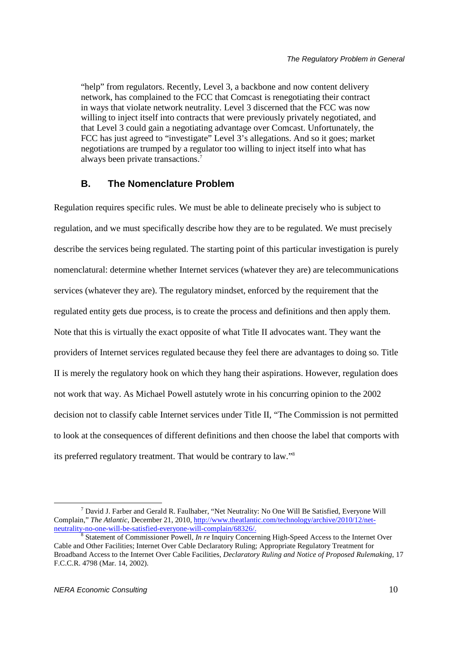"help" from regulators. Recently, Level 3, a backbone and now content delivery network, has complained to the FCC that Comcast is renegotiating their contract in ways that violate network neutrality. Level 3 discerned that the FCC was now willing to inject itself into contracts that were previously privately negotiated, and that Level 3 could gain a negotiating advantage over Comcast. Unfortunately, the FCC has just agreed to "investigate" Level 3's allegations. And so it goes; market negotiations are trumped by a regulator too willing to inject itself into what has always been private transactions.<sup>7</sup>

#### **B. The Nomenclature Problem**

Regulation requires specific rules. We must be able to delineate precisely who is subject to regulation, and we must specifically describe how they are to be regulated. We must precisely describe the services being regulated. The starting point of this particular investigation is purely nomenclatural: determine whether Internet services (whatever they are) are telecommunications services (whatever they are). The regulatory mindset, enforced by the requirement that the regulated entity gets due process, is to create the process and definitions and then apply them. Note that this is virtually the exact opposite of what Title II advocates want. They want the providers of Internet services regulated because they feel there are advantages to doing so. Title II is merely the regulatory hook on which they hang their aspirations. However, regulation does not work that way. As Michael Powell astutely wrote in his concurring opinion to the 2002 decision not to classify cable Internet services under Title II, "The Commission is not permitted to look at the consequences of different definitions and then choose the label that comports with its preferred regulatory treatment. That would be contrary to law."<sup>8</sup>

 $^7$  David J. Farber and Gerald R. Faulhaber, "Net Neutrality: No One Will Be Satisfied, Everyone Will Complain," *The Atlantic*, December 21, 2010, http://www.theatlantic.com/technology/archive/2010/12/netneutrality-no-one-will-be-satisfied-everyone-will-complain/68326/.

<sup>8</sup> Statement of Commissioner Powell, *In re* Inquiry Concerning High-Speed Access to the Internet Over Cable and Other Facilities; Internet Over Cable Declaratory Ruling; Appropriate Regulatory Treatment for Broadband Access to the Internet Over Cable Facilities, *Declaratory Ruling and Notice of Proposed Rulemaking*, 17 F.C.C.R. 4798 (Mar. 14, 2002).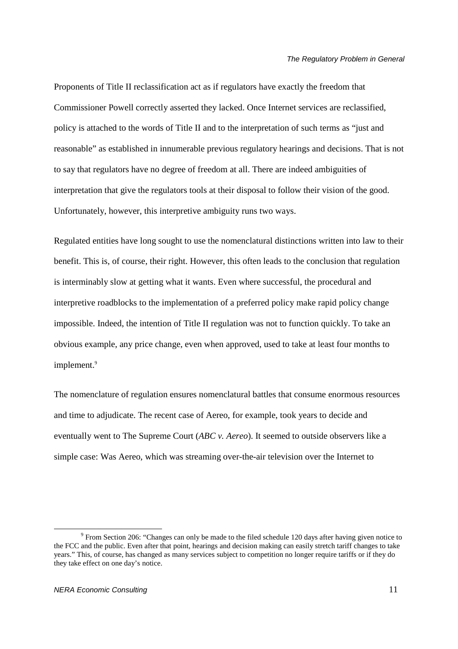Proponents of Title II reclassification act as if regulators have exactly the freedom that Commissioner Powell correctly asserted they lacked. Once Internet services are reclassified, policy is attached to the words of Title II and to the interpretation of such terms as "just and reasonable" as established in innumerable previous regulatory hearings and decisions. That is not to say that regulators have no degree of freedom at all. There are indeed ambiguities of interpretation that give the regulators tools at their disposal to follow their vision of the good. Unfortunately, however, this interpretive ambiguity runs two ways.

Regulated entities have long sought to use the nomenclatural distinctions written into law to their benefit. This is, of course, their right. However, this often leads to the conclusion that regulation is interminably slow at getting what it wants. Even where successful, the procedural and interpretive roadblocks to the implementation of a preferred policy make rapid policy change impossible. Indeed, the intention of Title II regulation was not to function quickly. To take an obvious example, any price change, even when approved, used to take at least four months to implement.<sup>9</sup>

The nomenclature of regulation ensures nomenclatural battles that consume enormous resources and time to adjudicate. The recent case of Aereo, for example, took years to decide and eventually went to The Supreme Court (*ABC v. Aereo*). It seemed to outside observers like a simple case: Was Aereo, which was streaming over-the-air television over the Internet to

<sup>&</sup>lt;sup>9</sup> From Section 206: "Changes can only be made to the filed schedule 120 days after having given notice to the FCC and the public. Even after that point, hearings and decision making can easily stretch tariff changes to take years." This, of course, has changed as many services subject to competition no longer require tariffs or if they do they take effect on one day's notice.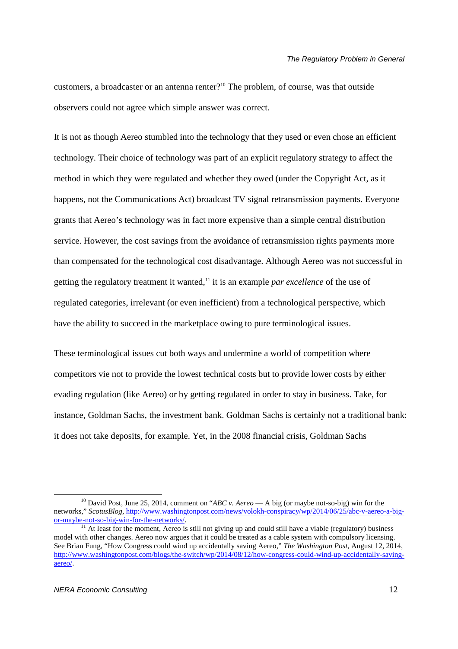customers, a broadcaster or an antenna renter?<sup>10</sup> The problem, of course, was that outside observers could not agree which simple answer was correct.

It is not as though Aereo stumbled into the technology that they used or even chose an efficient technology. Their choice of technology was part of an explicit regulatory strategy to affect the method in which they were regulated and whether they owed (under the Copyright Act, as it happens, not the Communications Act) broadcast TV signal retransmission payments. Everyone grants that Aereo's technology was in fact more expensive than a simple central distribution service. However, the cost savings from the avoidance of retransmission rights payments more than compensated for the technological cost disadvantage. Although Aereo was not successful in getting the regulatory treatment it wanted,<sup>11</sup> it is an example *par excellence* of the use of regulated categories, irrelevant (or even inefficient) from a technological perspective, which have the ability to succeed in the marketplace owing to pure terminological issues.

These terminological issues cut both ways and undermine a world of competition where competitors vie not to provide the lowest technical costs but to provide lower costs by either evading regulation (like Aereo) or by getting regulated in order to stay in business. Take, for instance, Goldman Sachs, the investment bank. Goldman Sachs is certainly not a traditional bank: it does not take deposits, for example. Yet, in the 2008 financial crisis, Goldman Sachs

<sup>10</sup> David Post, June 25, 2014, comment on "*ABC v. Aereo* — A big (or maybe not-so-big) win for the networks," *ScotusBlog*, http://www.washingtonpost.com/news/volokh-conspiracy/wp/2014/06/25/abc-v-aereo-a-bigor-maybe-not-so-big-win-for-the-networks/.

 $11$  At least for the moment, Aereo is still not giving up and could still have a viable (regulatory) business model with other changes. Aereo now argues that it could be treated as a cable system with compulsory licensing. See Brian Fung, "How Congress could wind up accidentally saving Aereo," *The Washington Post*, August 12, 2014, http://www.washingtonpost.com/blogs/the-switch/wp/2014/08/12/how-congress-could-wind-up-accidentally-savingaereo/.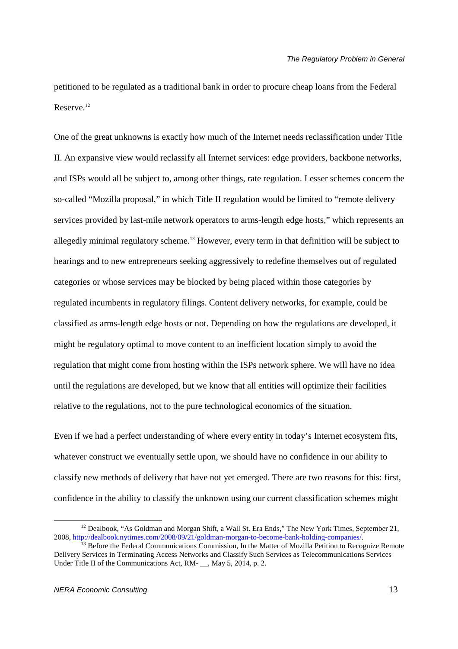petitioned to be regulated as a traditional bank in order to procure cheap loans from the Federal Reserve.<sup>12</sup>

One of the great unknowns is exactly how much of the Internet needs reclassification under Title II. An expansive view would reclassify all Internet services: edge providers, backbone networks, and ISPs would all be subject to, among other things, rate regulation. Lesser schemes concern the so-called "Mozilla proposal," in which Title II regulation would be limited to "remote delivery services provided by last-mile network operators to arms-length edge hosts," which represents an allegedly minimal regulatory scheme.<sup>13</sup> However, every term in that definition will be subject to hearings and to new entrepreneurs seeking aggressively to redefine themselves out of regulated categories or whose services may be blocked by being placed within those categories by regulated incumbents in regulatory filings. Content delivery networks, for example, could be classified as arms-length edge hosts or not. Depending on how the regulations are developed, it might be regulatory optimal to move content to an inefficient location simply to avoid the regulation that might come from hosting within the ISPs network sphere. We will have no idea until the regulations are developed, but we know that all entities will optimize their facilities relative to the regulations, not to the pure technological economics of the situation.

Even if we had a perfect understanding of where every entity in today's Internet ecosystem fits, whatever construct we eventually settle upon, we should have no confidence in our ability to classify new methods of delivery that have not yet emerged. There are two reasons for this: first, confidence in the ability to classify the unknown using our current classification schemes might

<sup>&</sup>lt;sup>12</sup> Dealbook, "As Goldman and Morgan Shift, a Wall St. Era Ends," The New York Times, September 21, 2008, http://dealbook.nytimes.com/2008/09/21/goldman-morgan-to-become-bank-holding-companies/.

<sup>&</sup>lt;sup>13</sup> Before the Federal Communications Commission, In the Matter of Mozilla Petition to Recognize Remote Delivery Services in Terminating Access Networks and Classify Such Services as Telecommunications Services Under Title II of the Communications Act, RM- \_\_, May 5, 2014, p. 2.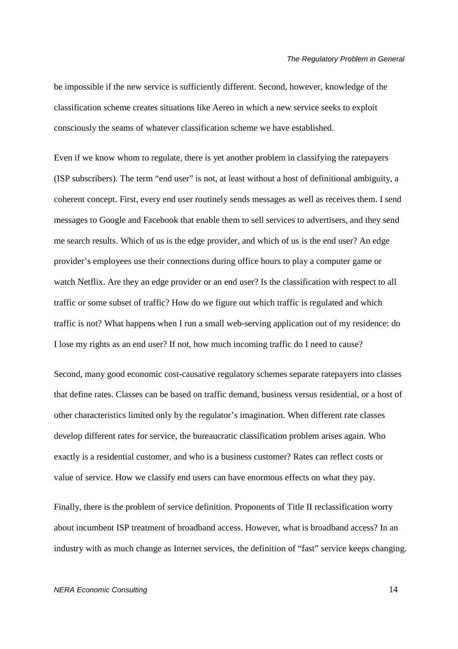be impossible if the new service is sufficiently different. Second, however, knowledge of the classification scheme creates situations like Aereo in which a new service seeks to exploit consciously the seams of whatever classification scheme we have established.

Even if we know whom to regulate, there is yet another problem in classifying the ratepayers (ISP subscribers). The term "end user" is not, at least without a host of definitional ambiguity, a coherent concept. First, every end user routinely sends messages as well as receives them. I send messages to Google and Facebook that enable them to sell services to advertisers, and they send me search results. Which of us is the edge provider, and which of us is the end user? An edge provider's employees use their connections during office hours to play a computer game or watch Netflix. Are they an edge provider or an end user? Is the classification with respect to all traffic or some subset of traffic? How do we figure out which traffic is regulated and which traffic is not? What happens when I run a small web-serving application out of my residence: do I lose my rights as an end user? If not, how much incoming traffic do I need to cause?

Second, many good economic cost-causative regulatory schemes separate ratepayers into classes that define rates. Classes can be based on traffic demand, business versus residential, or a host of other characteristics limited only by the regulator's imagination. When different rate classes develop different rates for service, the bureaucratic classification problem arises again. Who exactly is a residential customer, and who is a business customer? Rates can reflect costs or value of service. How we classify end users can have enormous effects on what they pay.

Finally, there is the problem of service definition. Proponents of Title II reclassification worry about incumbent ISP treatment of broadband access. However, what is broadband access? In an industry with as much change as Internet services, the definition of "fast" service keeps changing.

#### NERA Economic Consulting 14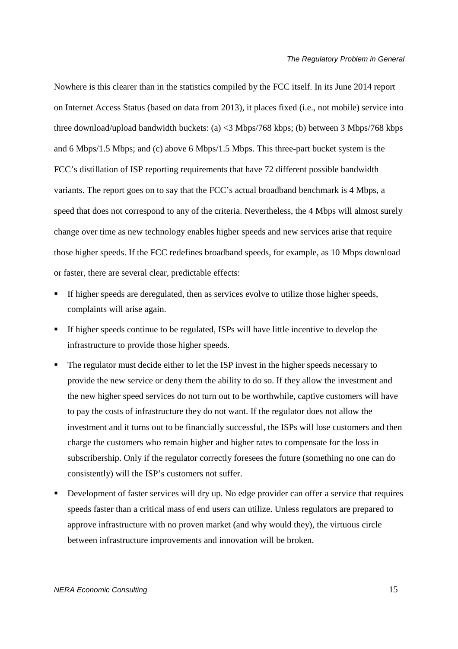Nowhere is this clearer than in the statistics compiled by the FCC itself. In its June 2014 report on Internet Access Status (based on data from 2013), it places fixed (i.e., not mobile) service into three download/upload bandwidth buckets: (a) <3 Mbps/768 kbps; (b) between 3 Mbps/768 kbps and 6 Mbps/1.5 Mbps; and (c) above 6 Mbps/1.5 Mbps. This three-part bucket system is the FCC's distillation of ISP reporting requirements that have 72 different possible bandwidth variants. The report goes on to say that the FCC's actual broadband benchmark is 4 Mbps, a speed that does not correspond to any of the criteria. Nevertheless, the 4 Mbps will almost surely change over time as new technology enables higher speeds and new services arise that require those higher speeds. If the FCC redefines broadband speeds, for example, as 10 Mbps download or faster, there are several clear, predictable effects:

- If higher speeds are deregulated, then as services evolve to utilize those higher speeds, complaints will arise again.
- If higher speeds continue to be regulated, ISPs will have little incentive to develop the infrastructure to provide those higher speeds.
- The regulator must decide either to let the ISP invest in the higher speeds necessary to provide the new service or deny them the ability to do so. If they allow the investment and the new higher speed services do not turn out to be worthwhile, captive customers will have to pay the costs of infrastructure they do not want. If the regulator does not allow the investment and it turns out to be financially successful, the ISPs will lose customers and then charge the customers who remain higher and higher rates to compensate for the loss in subscribership. Only if the regulator correctly foresees the future (something no one can do consistently) will the ISP's customers not suffer.
- Development of faster services will dry up. No edge provider can offer a service that requires speeds faster than a critical mass of end users can utilize. Unless regulators are prepared to approve infrastructure with no proven market (and why would they), the virtuous circle between infrastructure improvements and innovation will be broken.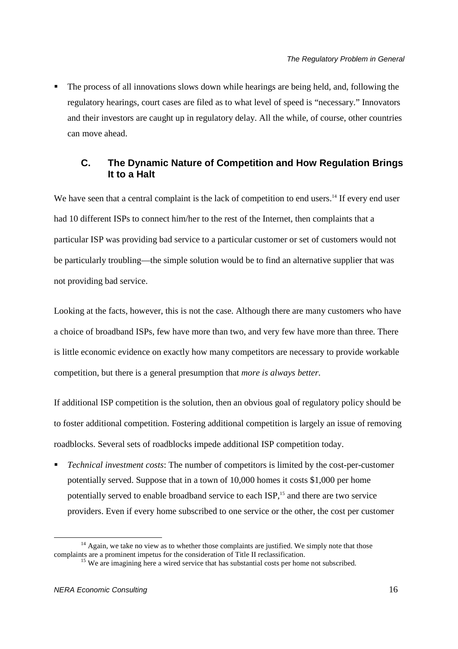The process of all innovations slows down while hearings are being held, and, following the regulatory hearings, court cases are filed as to what level of speed is "necessary." Innovators and their investors are caught up in regulatory delay. All the while, of course, other countries can move ahead.

## **C. The Dynamic Nature of Competition and How Regulation Brings It to a Halt**

We have seen that a central complaint is the lack of competition to end users.<sup>14</sup> If every end user had 10 different ISPs to connect him/her to the rest of the Internet, then complaints that a particular ISP was providing bad service to a particular customer or set of customers would not be particularly troubling—the simple solution would be to find an alternative supplier that was not providing bad service.

Looking at the facts, however, this is not the case. Although there are many customers who have a choice of broadband ISPs, few have more than two, and very few have more than three. There is little economic evidence on exactly how many competitors are necessary to provide workable competition, but there is a general presumption that *more is always better.*

If additional ISP competition is the solution, then an obvious goal of regulatory policy should be to foster additional competition. Fostering additional competition is largely an issue of removing roadblocks. Several sets of roadblocks impede additional ISP competition today.

 *Technical investment costs*: The number of competitors is limited by the cost-per-customer potentially served. Suppose that in a town of 10,000 homes it costs \$1,000 per home potentially served to enable broadband service to each ISP,<sup>15</sup> and there are two service providers. Even if every home subscribed to one service or the other, the cost per customer

<sup>&</sup>lt;sup>14</sup> Again, we take no view as to whether those complaints are justified. We simply note that those complaints are a prominent impetus for the consideration of Title II reclassification.

<sup>&</sup>lt;sup>15</sup> We are imagining here a wired service that has substantial costs per home not subscribed.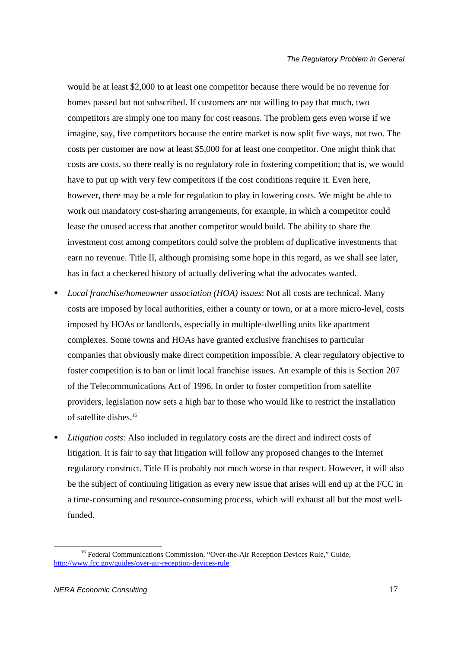would be at least \$2,000 to at least one competitor because there would be no revenue for homes passed but not subscribed. If customers are not willing to pay that much, two competitors are simply one too many for cost reasons. The problem gets even worse if we imagine, say, five competitors because the entire market is now split five ways, not two. The costs per customer are now at least \$5,000 for at least one competitor. One might think that costs are costs, so there really is no regulatory role in fostering competition; that is, we would have to put up with very few competitors if the cost conditions require it. Even here, however, there may be a role for regulation to play in lowering costs. We might be able to work out mandatory cost-sharing arrangements, for example, in which a competitor could lease the unused access that another competitor would build. The ability to share the investment cost among competitors could solve the problem of duplicative investments that earn no revenue. Title II, although promising some hope in this regard, as we shall see later, has in fact a checkered history of actually delivering what the advocates wanted.

- *Local franchise/homeowner association (HOA) issues*: Not all costs are technical. Many costs are imposed by local authorities, either a county or town, or at a more micro-level, costs imposed by HOAs or landlords, especially in multiple-dwelling units like apartment complexes. Some towns and HOAs have granted exclusive franchises to particular companies that obviously make direct competition impossible. A clear regulatory objective to foster competition is to ban or limit local franchise issues. An example of this is Section 207 of the Telecommunications Act of 1996. In order to foster competition from satellite providers, legislation now sets a high bar to those who would like to restrict the installation of satellite dishes.<sup>16</sup>
- *Litigation costs*: Also included in regulatory costs are the direct and indirect costs of litigation. It is fair to say that litigation will follow any proposed changes to the Internet regulatory construct. Title II is probably not much worse in that respect. However, it will also be the subject of continuing litigation as every new issue that arises will end up at the FCC in a time-consuming and resource-consuming process, which will exhaust all but the most wellfunded.

<u>.</u>

<sup>&</sup>lt;sup>16</sup> Federal Communications Commission, "Over-the-Air Reception Devices Rule," Guide, http://www.fcc.gov/guides/over-air-reception-devices-rule.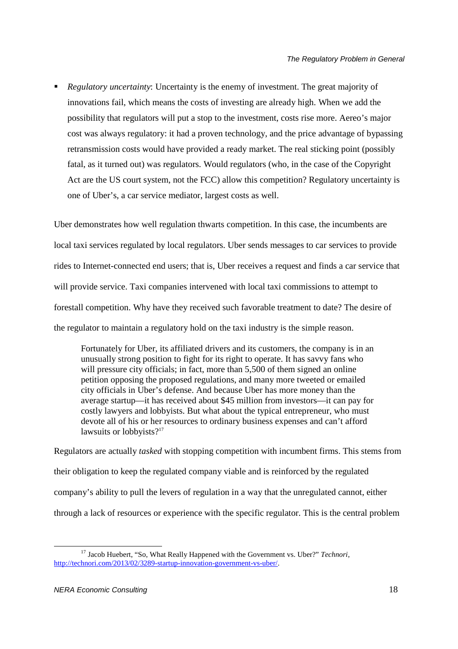*Regulatory uncertainty*: Uncertainty is the enemy of investment. The great majority of innovations fail, which means the costs of investing are already high. When we add the possibility that regulators will put a stop to the investment, costs rise more. Aereo's major cost was always regulatory: it had a proven technology, and the price advantage of bypassing retransmission costs would have provided a ready market. The real sticking point (possibly fatal, as it turned out) was regulators. Would regulators (who, in the case of the Copyright Act are the US court system, not the FCC) allow this competition? Regulatory uncertainty is one of Uber's, a car service mediator, largest costs as well.

Uber demonstrates how well regulation thwarts competition. In this case, the incumbents are local taxi services regulated by local regulators. Uber sends messages to car services to provide rides to Internet-connected end users; that is, Uber receives a request and finds a car service that will provide service. Taxi companies intervened with local taxi commissions to attempt to forestall competition. Why have they received such favorable treatment to date? The desire of the regulator to maintain a regulatory hold on the taxi industry is the simple reason.

Fortunately for Uber, its affiliated drivers and its customers, the company is in an unusually strong position to fight for its right to operate. It has savvy fans who will pressure city officials; in fact, more than 5,500 of them signed an online petition opposing the proposed regulations, and many more tweeted or emailed city officials in Uber's defense. And because Uber has more money than the average startup—it has received about \$45 million from investors—it can pay for costly lawyers and lobbyists. But what about the typical entrepreneur, who must devote all of his or her resources to ordinary business expenses and can't afford lawsuits or lobbyists?<sup>17</sup>

Regulators are actually *tasked* with stopping competition with incumbent firms. This stems from their obligation to keep the regulated company viable and is reinforced by the regulated company's ability to pull the levers of regulation in a way that the unregulated cannot, either through a lack of resources or experience with the specific regulator. This is the central problem

<u>.</u>

<sup>&</sup>lt;sup>17</sup> Jacob Huebert, "So, What Really Happened with the Government vs. Uber?" *Technori*, http://technori.com/2013/02/3289-startup-innovation-government-vs-uber/.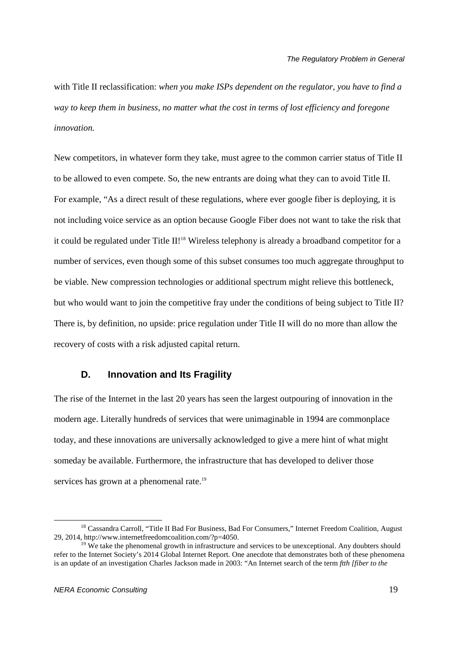with Title II reclassification: *when you make ISPs dependent on the regulator, you have to find a way to keep them in business, no matter what the cost in terms of lost efficiency and foregone innovation.* 

New competitors, in whatever form they take, must agree to the common carrier status of Title II to be allowed to even compete. So, the new entrants are doing what they can to avoid Title II. For example, "As a direct result of these regulations, where ever google fiber is deploying, it is not including voice service as an option because Google Fiber does not want to take the risk that it could be regulated under Title II!<sup>18</sup> Wireless telephony is already a broadband competitor for a number of services, even though some of this subset consumes too much aggregate throughput to be viable. New compression technologies or additional spectrum might relieve this bottleneck, but who would want to join the competitive fray under the conditions of being subject to Title II? There is, by definition, no upside: price regulation under Title II will do no more than allow the recovery of costs with a risk adjusted capital return.

## **D. Innovation and Its Fragility**

The rise of the Internet in the last 20 years has seen the largest outpouring of innovation in the modern age. Literally hundreds of services that were unimaginable in 1994 are commonplace today, and these innovations are universally acknowledged to give a mere hint of what might someday be available. Furthermore, the infrastructure that has developed to deliver those services has grown at a phenomenal rate.<sup>19</sup>

<sup>&</sup>lt;sup>18</sup> Cassandra Carroll, "Title II Bad For Business, Bad For Consumers," Internet Freedom Coalition, August 29, 2014, http://www.internetfreedomcoalition.com/?p=4050.

 $19$  We take the phenomenal growth in infrastructure and services to be unexceptional. Any doubters should refer to the Internet Society's 2014 Global Internet Report. One anecdote that demonstrates both of these phenomena is an update of an investigation Charles Jackson made in 2003: "An Internet search of the term *ftth [fiber to the*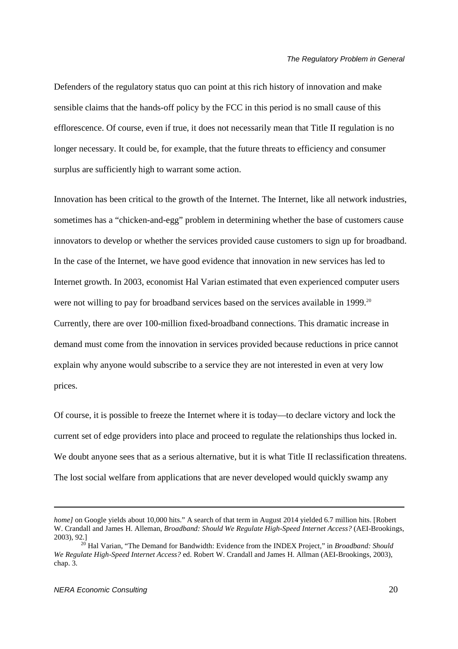Defenders of the regulatory status quo can point at this rich history of innovation and make sensible claims that the hands-off policy by the FCC in this period is no small cause of this efflorescence. Of course, even if true, it does not necessarily mean that Title II regulation is no longer necessary. It could be, for example, that the future threats to efficiency and consumer surplus are sufficiently high to warrant some action.

Innovation has been critical to the growth of the Internet. The Internet, like all network industries, sometimes has a "chicken-and-egg" problem in determining whether the base of customers cause innovators to develop or whether the services provided cause customers to sign up for broadband. In the case of the Internet, we have good evidence that innovation in new services has led to Internet growth. In 2003, economist Hal Varian estimated that even experienced computer users were not willing to pay for broadband services based on the services available in 1999.<sup>20</sup> Currently, there are over 100-million fixed-broadband connections. This dramatic increase in demand must come from the innovation in services provided because reductions in price cannot explain why anyone would subscribe to a service they are not interested in even at very low prices.

Of course, it is possible to freeze the Internet where it is today—to declare victory and lock the current set of edge providers into place and proceed to regulate the relationships thus locked in. We doubt anyone sees that as a serious alternative, but it is what Title II reclassification threatens. The lost social welfare from applications that are never developed would quickly swamp any

<u>.</u>

*home]* on Google yields about 10,000 hits." A search of that term in August 2014 yielded 6.7 million hits. [Robert] W. Crandall and James H. Alleman, *Broadband: Should We Regulate High-Speed Internet Access?* (AEI-Brookings, 2003), 92.]

<sup>20</sup> Hal Varian, "The Demand for Bandwidth: Evidence from the INDEX Project," in *Broadband: Should We Regulate High-Speed Internet Access?* ed. Robert W. Crandall and James H. Allman (AEI-Brookings, 2003), chap. 3.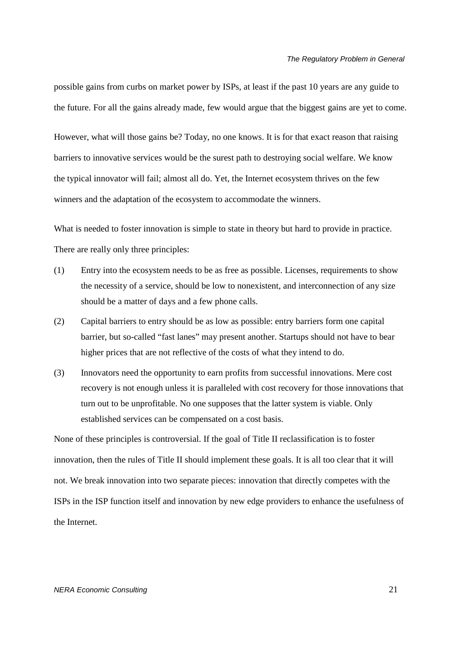possible gains from curbs on market power by ISPs, at least if the past 10 years are any guide to the future. For all the gains already made, few would argue that the biggest gains are yet to come.

However, what will those gains be? Today, no one knows. It is for that exact reason that raising barriers to innovative services would be the surest path to destroying social welfare. We know the typical innovator will fail; almost all do. Yet, the Internet ecosystem thrives on the few winners and the adaptation of the ecosystem to accommodate the winners.

What is needed to foster innovation is simple to state in theory but hard to provide in practice. There are really only three principles:

- (1) Entry into the ecosystem needs to be as free as possible. Licenses, requirements to show the necessity of a service, should be low to nonexistent, and interconnection of any size should be a matter of days and a few phone calls.
- (2) Capital barriers to entry should be as low as possible: entry barriers form one capital barrier, but so-called "fast lanes" may present another. Startups should not have to bear higher prices that are not reflective of the costs of what they intend to do.
- (3) Innovators need the opportunity to earn profits from successful innovations. Mere cost recovery is not enough unless it is paralleled with cost recovery for those innovations that turn out to be unprofitable. No one supposes that the latter system is viable. Only established services can be compensated on a cost basis.

None of these principles is controversial. If the goal of Title II reclassification is to foster innovation, then the rules of Title II should implement these goals. It is all too clear that it will not. We break innovation into two separate pieces: innovation that directly competes with the ISPs in the ISP function itself and innovation by new edge providers to enhance the usefulness of the Internet.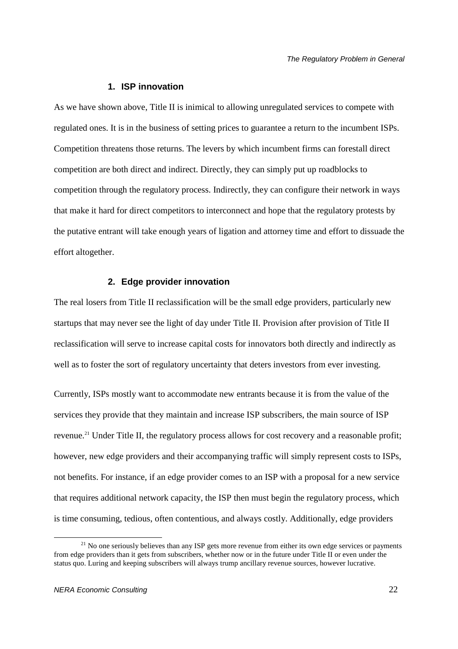#### **1. ISP innovation**

As we have shown above, Title II is inimical to allowing unregulated services to compete with regulated ones. It is in the business of setting prices to guarantee a return to the incumbent ISPs. Competition threatens those returns. The levers by which incumbent firms can forestall direct competition are both direct and indirect. Directly, they can simply put up roadblocks to competition through the regulatory process. Indirectly, they can configure their network in ways that make it hard for direct competitors to interconnect and hope that the regulatory protests by the putative entrant will take enough years of ligation and attorney time and effort to dissuade the effort altogether.

#### **2. Edge provider innovation**

The real losers from Title II reclassification will be the small edge providers, particularly new startups that may never see the light of day under Title II. Provision after provision of Title II reclassification will serve to increase capital costs for innovators both directly and indirectly as well as to foster the sort of regulatory uncertainty that deters investors from ever investing.

Currently, ISPs mostly want to accommodate new entrants because it is from the value of the services they provide that they maintain and increase ISP subscribers, the main source of ISP revenue.<sup>21</sup> Under Title II, the regulatory process allows for cost recovery and a reasonable profit; however, new edge providers and their accompanying traffic will simply represent costs to ISPs, not benefits. For instance, if an edge provider comes to an ISP with a proposal for a new service that requires additional network capacity, the ISP then must begin the regulatory process, which is time consuming, tedious, often contentious, and always costly. Additionally, edge providers

<sup>&</sup>lt;sup>21</sup> No one seriously believes than any ISP gets more revenue from either its own edge services or payments from edge providers than it gets from subscribers, whether now or in the future under Title II or even under the status quo. Luring and keeping subscribers will always trump ancillary revenue sources, however lucrative.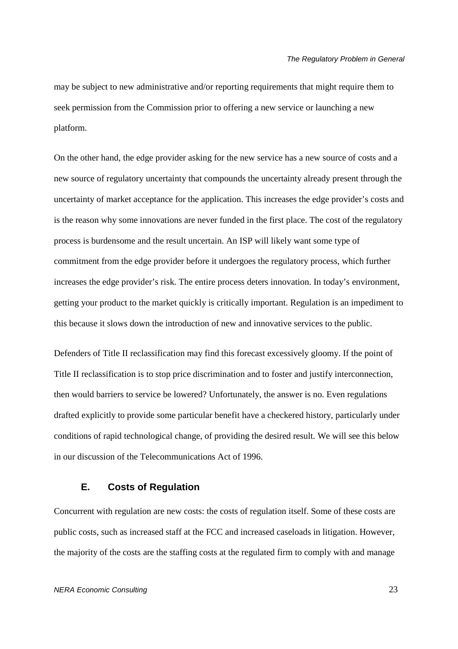may be subject to new administrative and/or reporting requirements that might require them to seek permission from the Commission prior to offering a new service or launching a new platform.

On the other hand, the edge provider asking for the new service has a new source of costs and a new source of regulatory uncertainty that compounds the uncertainty already present through the uncertainty of market acceptance for the application. This increases the edge provider's costs and is the reason why some innovations are never funded in the first place. The cost of the regulatory process is burdensome and the result uncertain. An ISP will likely want some type of commitment from the edge provider before it undergoes the regulatory process, which further increases the edge provider's risk. The entire process deters innovation. In today's environment, getting your product to the market quickly is critically important. Regulation is an impediment to this because it slows down the introduction of new and innovative services to the public.

Defenders of Title II reclassification may find this forecast excessively gloomy. If the point of Title II reclassification is to stop price discrimination and to foster and justify interconnection, then would barriers to service be lowered? Unfortunately, the answer is no. Even regulations drafted explicitly to provide some particular benefit have a checkered history, particularly under conditions of rapid technological change, of providing the desired result. We will see this below in our discussion of the Telecommunications Act of 1996.

## **E. Costs of Regulation**

Concurrent with regulation are new costs: the costs of regulation itself. Some of these costs are public costs, such as increased staff at the FCC and increased caseloads in litigation. However, the majority of the costs are the staffing costs at the regulated firm to comply with and manage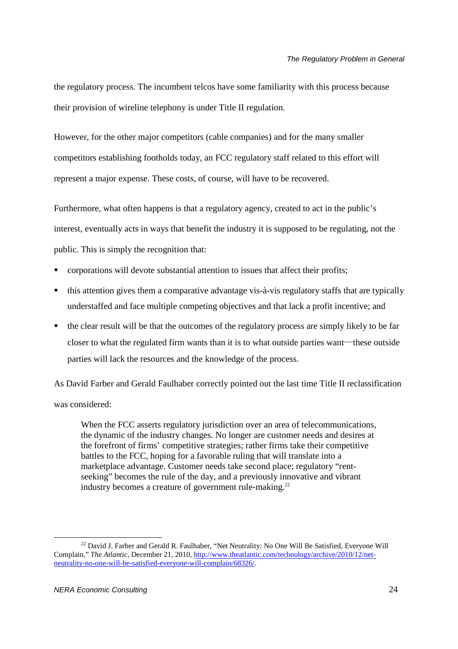the regulatory process. The incumbent telcos have some familiarity with this process because their provision of wireline telephony is under Title II regulation.

However, for the other major competitors (cable companies) and for the many smaller competitors establishing footholds today, an FCC regulatory staff related to this effort will represent a major expense. These costs, of course, will have to be recovered.

Furthermore, what often happens is that a regulatory agency, created to act in the public's interest, eventually acts in ways that benefit the industry it is supposed to be regulating, not the public. This is simply the recognition that:

- corporations will devote substantial attention to issues that affect their profits;
- this attention gives them a comparative advantage vis-à-vis regulatory staffs that are typically understaffed and face multiple competing objectives and that lack a profit incentive; and
- the clear result will be that the outcomes of the regulatory process are simply likely to be far closer to what the regulated firm wants than it is to what outside parties want—these outside parties will lack the resources and the knowledge of the process.

As David Farber and Gerald Faulhaber correctly pointed out the last time Title II reclassification was considered:

When the FCC asserts regulatory jurisdiction over an area of telecommunications, the dynamic of the industry changes. No longer are customer needs and desires at the forefront of firms' competitive strategies; rather firms take their competitive battles to the FCC, hoping for a favorable ruling that will translate into a marketplace advantage. Customer needs take second place; regulatory "rentseeking" becomes the rule of the day, and a previously innovative and vibrant industry becomes a creature of government rule-making. $^{22}$ 

<sup>&</sup>lt;sup>22</sup> David J. Farber and Gerald R. Faulhaber, "Net Neutrality: No One Will Be Satisfied, Everyone Will Complain," *The Atlantic*, December 21, 2010, http://www.theatlantic.com/technology/archive/2010/12/netneutrality-no-one-will-be-satisfied-everyone-will-complain/68326/.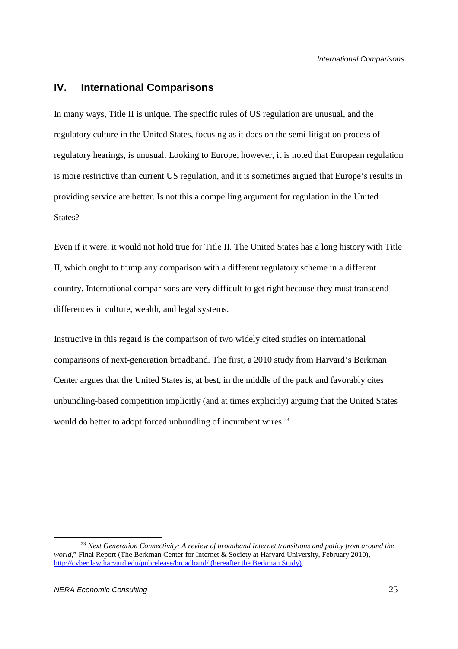## **IV. International Comparisons**

In many ways, Title II is unique. The specific rules of US regulation are unusual, and the regulatory culture in the United States, focusing as it does on the semi-litigation process of regulatory hearings, is unusual. Looking to Europe, however, it is noted that European regulation is more restrictive than current US regulation, and it is sometimes argued that Europe's results in providing service are better. Is not this a compelling argument for regulation in the United States?

Even if it were, it would not hold true for Title II. The United States has a long history with Title II, which ought to trump any comparison with a different regulatory scheme in a different country. International comparisons are very difficult to get right because they must transcend differences in culture, wealth, and legal systems.

Instructive in this regard is the comparison of two widely cited studies on international comparisons of next-generation broadband. The first, a 2010 study from Harvard's Berkman Center argues that the United States is, at best, in the middle of the pack and favorably cites unbundling-based competition implicitly (and at times explicitly) arguing that the United States would do better to adopt forced unbundling of incumbent wires.<sup>23</sup>

<sup>23</sup> *Next Generation Connectivity: A review of broadband Internet transitions and policy from around the world*," Final Report (The Berkman Center for Internet & Society at Harvard University, February 2010), http://cyber.law.harvard.edu/pubrelease/broadband/ (hereafter the Berkman Study).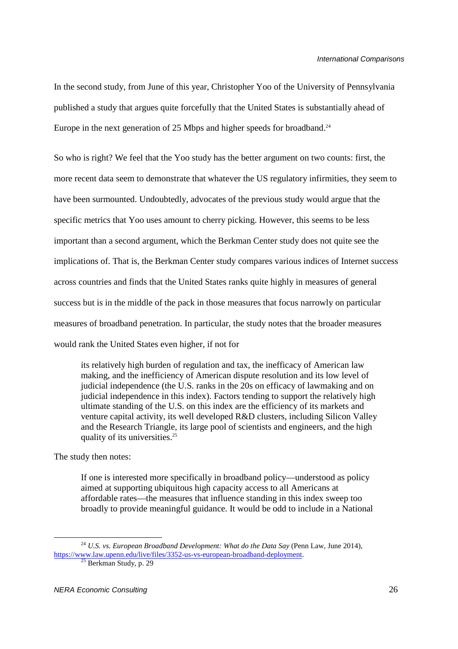In the second study, from June of this year, Christopher Yoo of the University of Pennsylvania published a study that argues quite forcefully that the United States is substantially ahead of Europe in the next generation of 25 Mbps and higher speeds for broadband.<sup>24</sup>

So who is right? We feel that the Yoo study has the better argument on two counts: first, the more recent data seem to demonstrate that whatever the US regulatory infirmities, they seem to have been surmounted. Undoubtedly, advocates of the previous study would argue that the specific metrics that Yoo uses amount to cherry picking. However, this seems to be less important than a second argument, which the Berkman Center study does not quite see the implications of. That is, the Berkman Center study compares various indices of Internet success across countries and finds that the United States ranks quite highly in measures of general success but is in the middle of the pack in those measures that focus narrowly on particular measures of broadband penetration. In particular, the study notes that the broader measures would rank the United States even higher, if not for

its relatively high burden of regulation and tax, the inefficacy of American law making, and the inefficiency of American dispute resolution and its low level of judicial independence (the U.S. ranks in the 20s on efficacy of lawmaking and on judicial independence in this index). Factors tending to support the relatively high ultimate standing of the U.S. on this index are the efficiency of its markets and venture capital activity, its well developed R&D clusters, including Silicon Valley and the Research Triangle, its large pool of scientists and engineers, and the high quality of its universities.<sup>25</sup>

The study then notes:

-

If one is interested more specifically in broadband policy—understood as policy aimed at supporting ubiquitous high capacity access to all Americans at affordable rates—the measures that influence standing in this index sweep too broadly to provide meaningful guidance. It would be odd to include in a National

<sup>24</sup> *U.S. vs. European Broadband Development: What do the Data Say* (Penn Law, June 2014), https://www.law.upenn.edu/live/files/3352-us-vs-european-broadband-deployment.

 $25$  Berkman Study, p. 29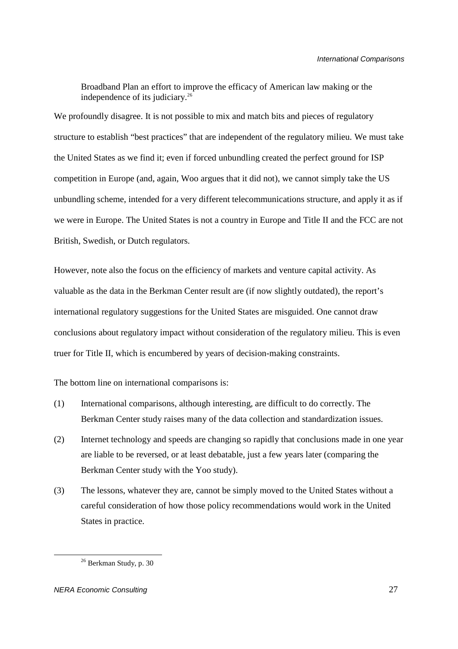Broadband Plan an effort to improve the efficacy of American law making or the independence of its judiciary.<sup>26</sup>

We profoundly disagree. It is not possible to mix and match bits and pieces of regulatory structure to establish "best practices" that are independent of the regulatory milieu. We must take the United States as we find it; even if forced unbundling created the perfect ground for ISP competition in Europe (and, again, Woo argues that it did not), we cannot simply take the US unbundling scheme, intended for a very different telecommunications structure, and apply it as if we were in Europe. The United States is not a country in Europe and Title II and the FCC are not British, Swedish, or Dutch regulators.

However, note also the focus on the efficiency of markets and venture capital activity. As valuable as the data in the Berkman Center result are (if now slightly outdated), the report's international regulatory suggestions for the United States are misguided. One cannot draw conclusions about regulatory impact without consideration of the regulatory milieu. This is even truer for Title II, which is encumbered by years of decision-making constraints.

The bottom line on international comparisons is:

- (1) International comparisons, although interesting, are difficult to do correctly. The Berkman Center study raises many of the data collection and standardization issues.
- (2) Internet technology and speeds are changing so rapidly that conclusions made in one year are liable to be reversed, or at least debatable, just a few years later (comparing the Berkman Center study with the Yoo study).
- (3) The lessons, whatever they are, cannot be simply moved to the United States without a careful consideration of how those policy recommendations would work in the United States in practice.

<sup>26</sup> Berkman Study, p. 30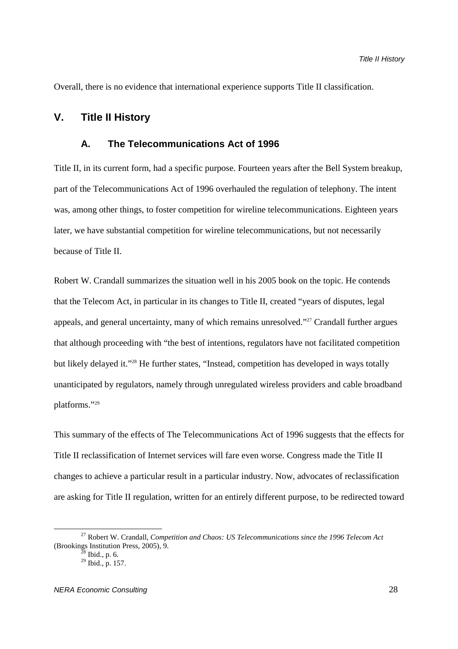Overall, there is no evidence that international experience supports Title II classification.

## **V. Title II History**

## **A. The Telecommunications Act of 1996**

Title II, in its current form, had a specific purpose. Fourteen years after the Bell System breakup, part of the Telecommunications Act of 1996 overhauled the regulation of telephony. The intent was, among other things, to foster competition for wireline telecommunications. Eighteen years later, we have substantial competition for wireline telecommunications, but not necessarily because of Title II.

Robert W. Crandall summarizes the situation well in his 2005 book on the topic. He contends that the Telecom Act, in particular in its changes to Title II, created "years of disputes, legal appeals, and general uncertainty, many of which remains unresolved."<sup>27</sup> Crandall further argues that although proceeding with "the best of intentions, regulators have not facilitated competition but likely delayed it."<sup>28</sup> He further states, "Instead, competition has developed in ways totally unanticipated by regulators, namely through unregulated wireless providers and cable broadband platforms."<sup>29</sup>

This summary of the effects of The Telecommunications Act of 1996 suggests that the effects for Title II reclassification of Internet services will fare even worse. Congress made the Title II changes to achieve a particular result in a particular industry. Now, advocates of reclassification are asking for Title II regulation, written for an entirely different purpose, to be redirected toward

<sup>27</sup> Robert W. Crandall, *Competition and Chaos: US Telecommunications since the 1996 Telecom Act*  (Brookings Institution Press, 2005), 9.

Ibid., p.  $6$ .

 $29$  Ibid., p. 157.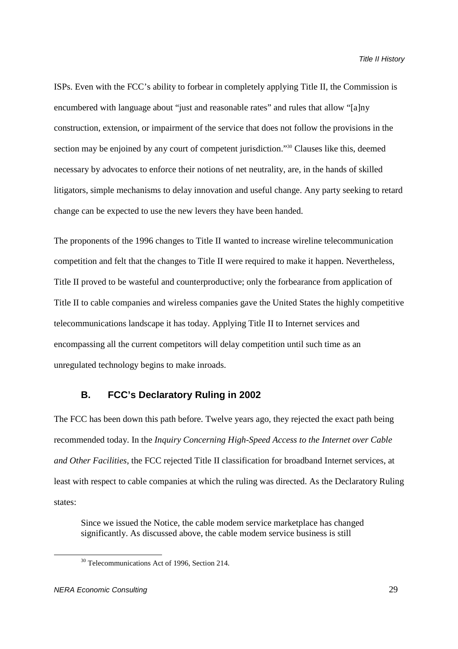ISPs. Even with the FCC's ability to forbear in completely applying Title II, the Commission is encumbered with language about "just and reasonable rates" and rules that allow "[a]ny construction, extension, or impairment of the service that does not follow the provisions in the section may be enjoined by any court of competent jurisdiction."<sup>30</sup> Clauses like this, deemed necessary by advocates to enforce their notions of net neutrality, are, in the hands of skilled litigators, simple mechanisms to delay innovation and useful change. Any party seeking to retard change can be expected to use the new levers they have been handed.

The proponents of the 1996 changes to Title II wanted to increase wireline telecommunication competition and felt that the changes to Title II were required to make it happen. Nevertheless, Title II proved to be wasteful and counterproductive; only the forbearance from application of Title II to cable companies and wireless companies gave the United States the highly competitive telecommunications landscape it has today. Applying Title II to Internet services and encompassing all the current competitors will delay competition until such time as an unregulated technology begins to make inroads.

#### **B. FCC's Declaratory Ruling in 2002**

The FCC has been down this path before. Twelve years ago, they rejected the exact path being recommended today. In the *Inquiry Concerning High-Speed Access to the Internet over Cable and Other Facilities*, the FCC rejected Title II classification for broadband Internet services, at least with respect to cable companies at which the ruling was directed. As the Declaratory Ruling states:

Since we issued the Notice, the cable modem service marketplace has changed significantly. As discussed above, the cable modem service business is still

<sup>&</sup>lt;sup>30</sup> Telecommunications Act of 1996, Section 214.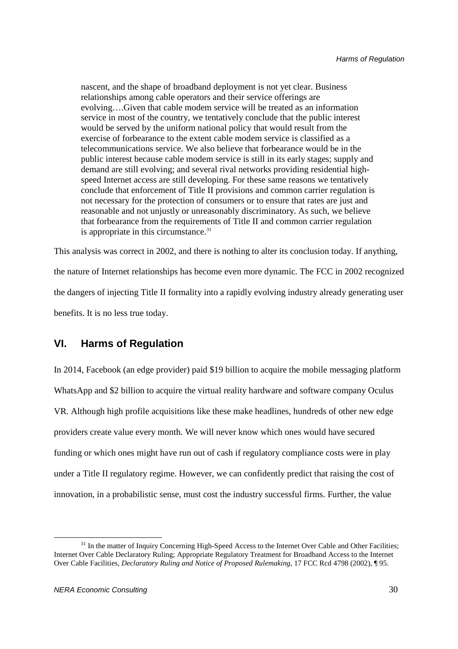nascent, and the shape of broadband deployment is not yet clear. Business relationships among cable operators and their service offerings are evolving….Given that cable modem service will be treated as an information service in most of the country, we tentatively conclude that the public interest would be served by the uniform national policy that would result from the exercise of forbearance to the extent cable modem service is classified as a telecommunications service. We also believe that forbearance would be in the public interest because cable modem service is still in its early stages; supply and demand are still evolving; and several rival networks providing residential highspeed Internet access are still developing. For these same reasons we tentatively conclude that enforcement of Title II provisions and common carrier regulation is not necessary for the protection of consumers or to ensure that rates are just and reasonable and not unjustly or unreasonably discriminatory. As such, we believe that forbearance from the requirements of Title II and common carrier regulation is appropriate in this circumstance.<sup>31</sup>

This analysis was correct in 2002, and there is nothing to alter its conclusion today. If anything, the nature of Internet relationships has become even more dynamic. The FCC in 2002 recognized the dangers of injecting Title II formality into a rapidly evolving industry already generating user benefits. It is no less true today.

## **VI. Harms of Regulation**

In 2014, Facebook (an edge provider) paid \$19 billion to acquire the mobile messaging platform WhatsApp and \$2 billion to acquire the virtual reality hardware and software company Oculus VR. Although high profile acquisitions like these make headlines, hundreds of other new edge providers create value every month. We will never know which ones would have secured funding or which ones might have run out of cash if regulatory compliance costs were in play under a Title II regulatory regime. However, we can confidently predict that raising the cost of innovation, in a probabilistic sense, must cost the industry successful firms. Further, the value

<sup>&</sup>lt;sup>31</sup> In the matter of Inquiry Concerning High-Speed Access to the Internet Over Cable and Other Facilities; Internet Over Cable Declaratory Ruling; Appropriate Regulatory Treatment for Broadband Access to the Internet Over Cable Facilities, *Declaratory Ruling and Notice of Proposed Rulemaking*, 17 FCC Rcd 4798 (2002), ¶ 95.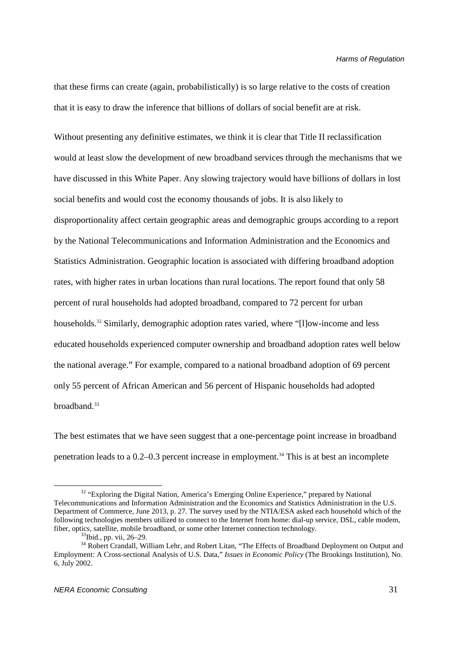that these firms can create (again, probabilistically) is so large relative to the costs of creation that it is easy to draw the inference that billions of dollars of social benefit are at risk.

Without presenting any definitive estimates, we think it is clear that Title II reclassification would at least slow the development of new broadband services through the mechanisms that we have discussed in this White Paper. Any slowing trajectory would have billions of dollars in lost social benefits and would cost the economy thousands of jobs. It is also likely to disproportionality affect certain geographic areas and demographic groups according to a report by the National Telecommunications and Information Administration and the Economics and Statistics Administration. Geographic location is associated with differing broadband adoption rates, with higher rates in urban locations than rural locations. The report found that only 58 percent of rural households had adopted broadband, compared to 72 percent for urban households.<sup>32</sup> Similarly, demographic adoption rates varied, where "[l]ow-income and less educated households experienced computer ownership and broadband adoption rates well below the national average." For example, compared to a national broadband adoption of 69 percent only 55 percent of African American and 56 percent of Hispanic households had adopted broadband.<sup>33</sup>

The best estimates that we have seen suggest that a one-percentage point increase in broadband penetration leads to a  $0.2-0.3$  percent increase in employment.<sup>34</sup> This is at best an incomplete

<sup>&</sup>lt;sup>32</sup> "Exploring the Digital Nation, America's Emerging Online Experience," prepared by National Telecommunications and Information Administration and the Economics and Statistics Administration in the U.S. Department of Commerce, June 2013, p. 27. The survey used by the NTIA/ESA asked each household which of the following technologies members utilized to connect to the Internet from home: dial-up service, DSL, cable modem, fiber, optics, satellite, mobile broadband, or some other Internet connection technology.

<sup>&</sup>lt;sup>33</sup>Ibid., pp. vii, 26–29.

<sup>&</sup>lt;sup>34</sup> Robert Crandall, William Lehr, and Robert Litan, "The Effects of Broadband Deployment on Output and Employment: A Cross-sectional Analysis of U.S. Data," *Issues in Economic Policy* (The Brookings Institution), No. 6, July 2002.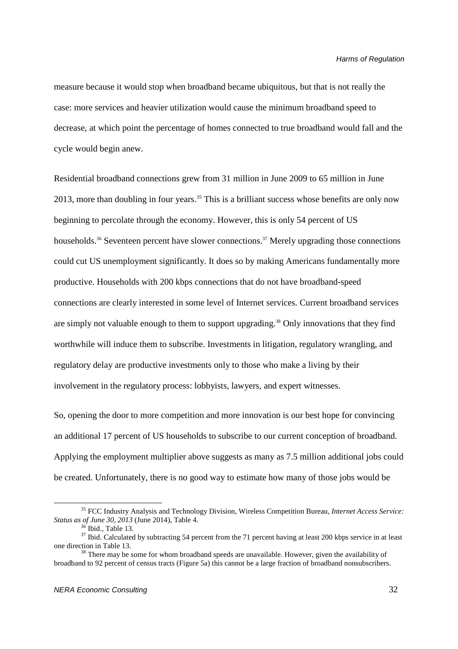measure because it would stop when broadband became ubiquitous, but that is not really the case: more services and heavier utilization would cause the minimum broadband speed to decrease, at which point the percentage of homes connected to true broadband would fall and the cycle would begin anew.

Residential broadband connections grew from 31 million in June 2009 to 65 million in June 2013, more than doubling in four years.<sup>35</sup> This is a brilliant success whose benefits are only now beginning to percolate through the economy. However, this is only 54 percent of US households.<sup>36</sup> Seventeen percent have slower connections.<sup>37</sup> Merely upgrading those connections could cut US unemployment significantly. It does so by making Americans fundamentally more productive. Households with 200 kbps connections that do not have broadband-speed connections are clearly interested in some level of Internet services. Current broadband services are simply not valuable enough to them to support upgrading.<sup>38</sup> Only innovations that they find worthwhile will induce them to subscribe. Investments in litigation, regulatory wrangling, and regulatory delay are productive investments only to those who make a living by their involvement in the regulatory process: lobbyists, lawyers, and expert witnesses.

So, opening the door to more competition and more innovation is our best hope for convincing an additional 17 percent of US households to subscribe to our current conception of broadband. Applying the employment multiplier above suggests as many as 7.5 million additional jobs could be created. Unfortunately, there is no good way to estimate how many of those jobs would be

<sup>35</sup> FCC Industry Analysis and Technology Division, Wireless Competition Bureau, *Internet Access Service: Status as of June 30, 2013* (June 2014), Table 4.

Ibid., Table 13.

<sup>&</sup>lt;sup>37</sup> Ibid. Calculated by subtracting 54 percent from the 71 percent having at least 200 kbps service in at least one direction in Table 13.

 $38$  There may be some for whom broadband speeds are unavailable. However, given the availability of broadband to 92 percent of census tracts (Figure 5a) this cannot be a large fraction of broadband nonsubscribers.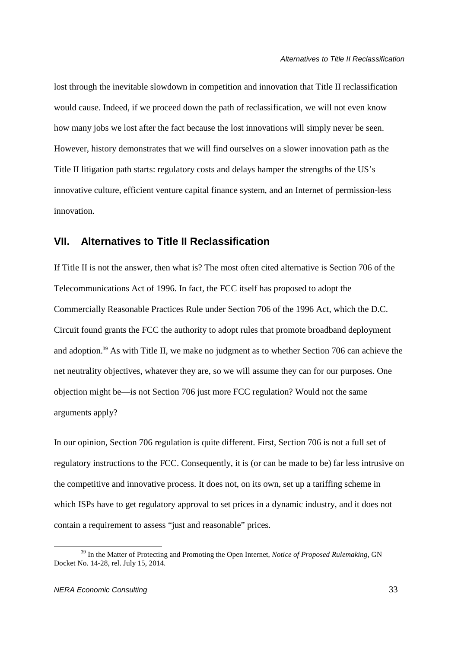lost through the inevitable slowdown in competition and innovation that Title II reclassification would cause. Indeed, if we proceed down the path of reclassification, we will not even know how many jobs we lost after the fact because the lost innovations will simply never be seen. However, history demonstrates that we will find ourselves on a slower innovation path as the Title II litigation path starts: regulatory costs and delays hamper the strengths of the US's innovative culture, efficient venture capital finance system, and an Internet of permission-less innovation.

## **VII. Alternatives to Title II Reclassification**

If Title II is not the answer, then what is? The most often cited alternative is Section 706 of the Telecommunications Act of 1996. In fact, the FCC itself has proposed to adopt the Commercially Reasonable Practices Rule under Section 706 of the 1996 Act, which the D.C. Circuit found grants the FCC the authority to adopt rules that promote broadband deployment and adoption.<sup>39</sup> As with Title II, we make no judgment as to whether Section 706 can achieve the net neutrality objectives, whatever they are, so we will assume they can for our purposes. One objection might be—is not Section 706 just more FCC regulation? Would not the same arguments apply?

In our opinion, Section 706 regulation is quite different. First, Section 706 is not a full set of regulatory instructions to the FCC. Consequently, it is (or can be made to be) far less intrusive on the competitive and innovative process. It does not, on its own, set up a tariffing scheme in which ISPs have to get regulatory approval to set prices in a dynamic industry, and it does not contain a requirement to assess "just and reasonable" prices.

<u>.</u>

<sup>39</sup> In the Matter of Protecting and Promoting the Open Internet, *Notice of Proposed Rulemaking*, GN Docket No. 14-28, rel. July 15, 2014.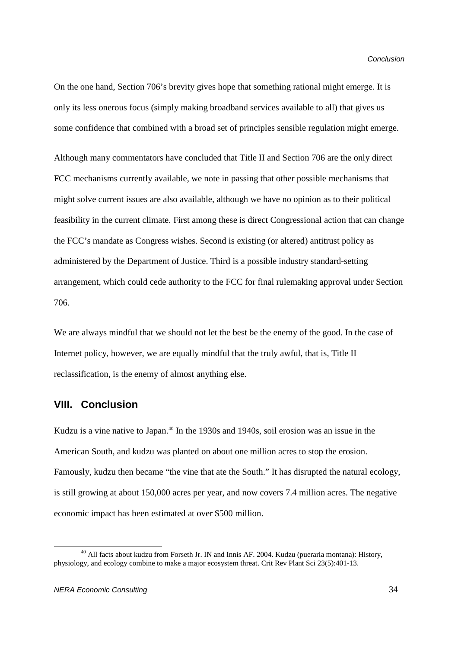On the one hand, Section 706's brevity gives hope that something rational might emerge. It is only its less onerous focus (simply making broadband services available to all) that gives us some confidence that combined with a broad set of principles sensible regulation might emerge.

Although many commentators have concluded that Title II and Section 706 are the only direct FCC mechanisms currently available, we note in passing that other possible mechanisms that might solve current issues are also available, although we have no opinion as to their political feasibility in the current climate. First among these is direct Congressional action that can change the FCC's mandate as Congress wishes. Second is existing (or altered) antitrust policy as administered by the Department of Justice. Third is a possible industry standard-setting arrangement, which could cede authority to the FCC for final rulemaking approval under Section 706.

We are always mindful that we should not let the best be the enemy of the good. In the case of Internet policy, however, we are equally mindful that the truly awful, that is, Title II reclassification, is the enemy of almost anything else.

## **VIII. Conclusion**

Kudzu is a vine native to Japan.<sup>40</sup> In the 1930s and 1940s, soil erosion was an issue in the American South, and kudzu was planted on about one million acres to stop the erosion. Famously, kudzu then became "the vine that ate the South." It has disrupted the natural ecology, is still growing at about 150,000 acres per year, and now covers 7.4 million acres. The negative economic impact has been estimated at over \$500 million.

<u>.</u>

<sup>&</sup>lt;sup>40</sup> All facts about kudzu from Forseth Jr. IN and Innis AF. 2004. Kudzu (pueraria montana): History, physiology, and ecology combine to make a major ecosystem threat. Crit Rev Plant Sci 23(5):401-13.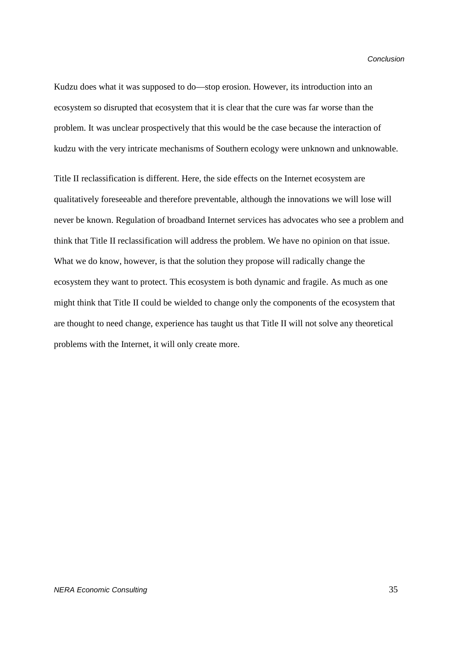Kudzu does what it was supposed to do—stop erosion. However, its introduction into an ecosystem so disrupted that ecosystem that it is clear that the cure was far worse than the problem. It was unclear prospectively that this would be the case because the interaction of kudzu with the very intricate mechanisms of Southern ecology were unknown and unknowable.

Title II reclassification is different. Here, the side effects on the Internet ecosystem are qualitatively foreseeable and therefore preventable, although the innovations we will lose will never be known. Regulation of broadband Internet services has advocates who see a problem and think that Title II reclassification will address the problem. We have no opinion on that issue. What we do know, however, is that the solution they propose will radically change the ecosystem they want to protect. This ecosystem is both dynamic and fragile. As much as one might think that Title II could be wielded to change only the components of the ecosystem that are thought to need change, experience has taught us that Title II will not solve any theoretical problems with the Internet, it will only create more.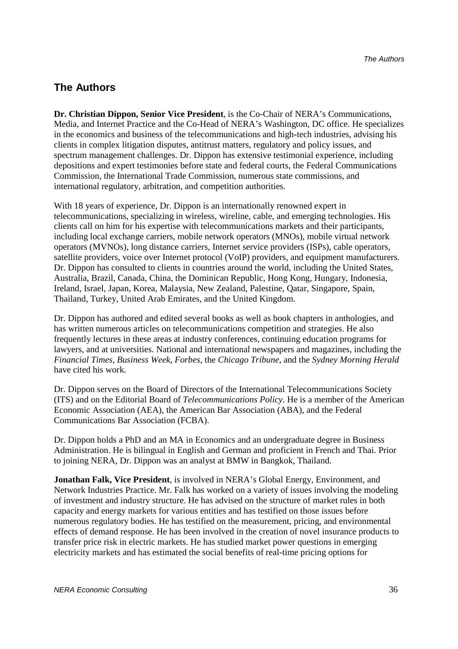## **The Authors**

**Dr. Christian Dippon, Senior Vice President**, is the Co-Chair of NERA's Communications, Media, and Internet Practice and the Co-Head of NERA's Washington, DC office. He specializes in the economics and business of the telecommunications and high-tech industries, advising his clients in complex litigation disputes, antitrust matters, regulatory and policy issues, and spectrum management challenges. Dr. Dippon has extensive testimonial experience, including depositions and expert testimonies before state and federal courts, the Federal Communications Commission, the International Trade Commission, numerous state commissions, and international regulatory, arbitration, and competition authorities.

With 18 years of experience, Dr. Dippon is an internationally renowned expert in telecommunications, specializing in wireless, wireline, cable, and emerging technologies. His clients call on him for his expertise with telecommunications markets and their participants, including local exchange carriers, mobile network operators (MNOs), mobile virtual network operators (MVNOs), long distance carriers, Internet service providers (ISPs), cable operators, satellite providers, voice over Internet protocol (VoIP) providers, and equipment manufacturers. Dr. Dippon has consulted to clients in countries around the world, including the United States, Australia, Brazil, Canada, China, the Dominican Republic, Hong Kong, Hungary, Indonesia, Ireland, Israel, Japan, Korea, Malaysia, New Zealand, Palestine, Qatar, Singapore, Spain, Thailand, Turkey, United Arab Emirates, and the United Kingdom.

Dr. Dippon has authored and edited several books as well as book chapters in anthologies, and has written numerous articles on telecommunications competition and strategies. He also frequently lectures in these areas at industry conferences, continuing education programs for lawyers, and at universities. National and international newspapers and magazines, including the *Financial Times*, *Business Week*, *Forbes*, the *Chicago Tribune*, and the *Sydney Morning Herald* have cited his work.

Dr. Dippon serves on the Board of Directors of the International Telecommunications Society (ITS) and on the Editorial Board of *Telecommunications Policy*. He is a member of the American Economic Association (AEA), the American Bar Association (ABA), and the Federal Communications Bar Association (FCBA).

Dr. Dippon holds a PhD and an MA in Economics and an undergraduate degree in Business Administration. He is bilingual in English and German and proficient in French and Thai. Prior to joining NERA, Dr. Dippon was an analyst at BMW in Bangkok, Thailand.

**Jonathan Falk, Vice President**, is involved in NERA's Global Energy, Environment, and Network Industries Practice. Mr. Falk has worked on a variety of issues involving the modeling of investment and industry structure. He has advised on the structure of market rules in both capacity and energy markets for various entities and has testified on those issues before numerous regulatory bodies. He has testified on the measurement, pricing, and environmental effects of demand response. He has been involved in the creation of novel insurance products to transfer price risk in electric markets. He has studied market power questions in emerging electricity markets and has estimated the social benefits of real-time pricing options for